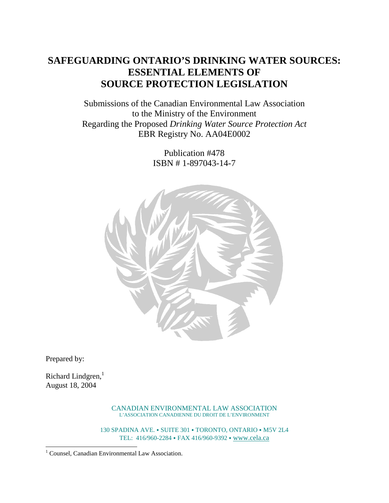# **SAFEGUARDING ONTARIO'S DRINKING WATER SOURCES: ESSENTIAL ELEMENTS OF SOURCE PROTECTION LEGISLATION**

Submissions of the Canadian Environmental Law Association to the Ministry of the Environment Regarding the Proposed *Drinking Water Source Protection Act* EBR Registry No. AA04E0002

> Publication #478 ISBN # 1-897043-14-7



Prepared by:

 $\overline{a}$ 

Richard Lindgren, $<sup>1</sup>$ </sup> August 18, 2004

> CANADIAN ENVIRONMENTAL LAW ASSOCIATION L'ASSOCIATION CANADIENNE DU DROIT DE L'ENVIRONMENT

130 SPADINA AVE. • SUITE 301 • TORONTO, ONTARIO • M5V 2L4 TEL: 416/960-2284 FAX 416/960-9392 [www.cela.ca](http://www.cela.ca/)

<sup>&</sup>lt;sup>1</sup> Counsel, Canadian Environmental Law Association.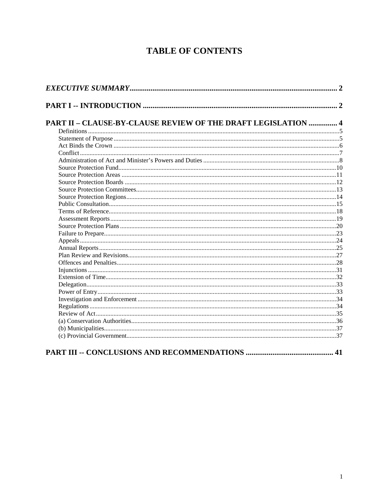# **TABLE OF CONTENTS**

| PART II - CLAUSE-BY-CLAUSE REVIEW OF THE DRAFT LEGISLATION  4 |  |
|---------------------------------------------------------------|--|
|                                                               |  |
|                                                               |  |
|                                                               |  |
|                                                               |  |
|                                                               |  |
|                                                               |  |
|                                                               |  |
|                                                               |  |
|                                                               |  |
|                                                               |  |
|                                                               |  |
|                                                               |  |
|                                                               |  |
|                                                               |  |
|                                                               |  |
|                                                               |  |
|                                                               |  |
|                                                               |  |
|                                                               |  |
|                                                               |  |
|                                                               |  |
|                                                               |  |
|                                                               |  |
|                                                               |  |
|                                                               |  |
|                                                               |  |
|                                                               |  |
|                                                               |  |
|                                                               |  |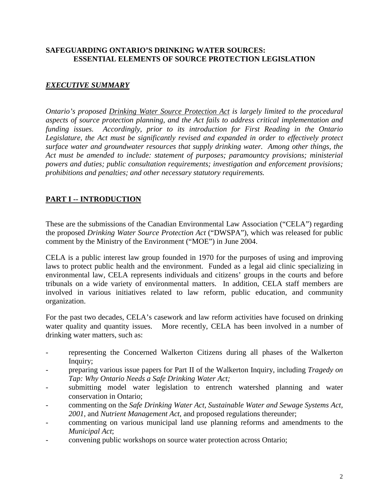## <span id="page-2-0"></span>**SAFEGUARDING ONTARIO'S DRINKING WATER SOURCES: ESSENTIAL ELEMENTS OF SOURCE PROTECTION LEGISLATION**

## *EXECUTIVE SUMMARY*

*Ontario's proposed Drinking Water Source Protection Act is largely limited to the procedural aspects of source protection planning, and the Act fails to address critical implementation and funding issues. Accordingly, prior to its introduction for First Reading in the Ontario Legislature, the Act must be significantly revised and expanded in order to effectively protect surface water and groundwater resources that supply drinking water. Among other things, the Act must be amended to include: statement of purposes; paramountcy provisions; ministerial powers and duties; public consultation requirements; investigation and enforcement provisions; prohibitions and penalties; and other necessary statutory requirements.*

## **PART I -- INTRODUCTION**

These are the submissions of the Canadian Environmental Law Association ("CELA") regarding the proposed *Drinking Water Source Protection Act* ("DWSPA"), which was released for public comment by the Ministry of the Environment ("MOE") in June 2004.

CELA is a public interest law group founded in 1970 for the purposes of using and improving laws to protect public health and the environment. Funded as a legal aid clinic specializing in environmental law, CELA represents individuals and citizens' groups in the courts and before tribunals on a wide variety of environmental matters. In addition, CELA staff members are involved in various initiatives related to law reform, public education, and community organization.

For the past two decades, CELA's casework and law reform activities have focused on drinking water quality and quantity issues. More recently, CELA has been involved in a number of drinking water matters, such as:

- representing the Concerned Walkerton Citizens during all phases of the Walkerton Inquiry;
- preparing various issue papers for Part II of the Walkerton Inquiry, including *Tragedy on Tap: Why Ontario Needs a Safe Drinking Water Act;*
- submitting model water legislation to entrench watershed planning and water conservation in Ontario;
- commenting on the *Safe Drinking Water Act, Sustainable Water and Sewage Systems Act, 2001*, and *Nutrient Management Act*, and proposed regulations thereunder;
- commenting on various municipal land use planning reforms and amendments to the *Municipal Act*;
- convening public workshops on source water protection across Ontario;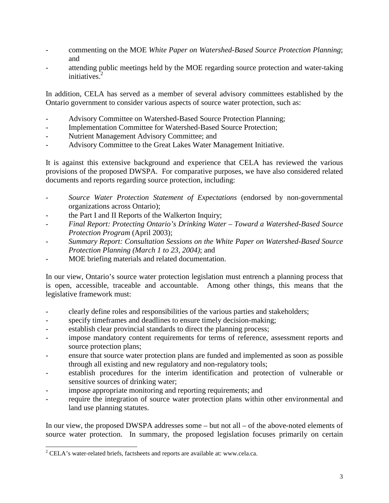- commenting on the MOE *White Paper on Watershed-Based Source Protection Planning*; and
- attending public meetings held by the MOE regarding source protection and water-taking initiatives.<sup>2</sup>

In addition, CELA has served as a member of several advisory committees established by the Ontario government to consider various aspects of source water protection, such as:

- Advisory Committee on Watershed-Based Source Protection Planning;
- Implementation Committee for Watershed-Based Source Protection;
- Nutrient Management Advisory Committee; and
- Advisory Committee to the Great Lakes Water Management Initiative.

It is against this extensive background and experience that CELA has reviewed the various provisions of the proposed DWSPA. For comparative purposes, we have also considered related documents and reports regarding source protection, including:

- *Source Water Protection Statement of Expectations* (endorsed by non-governmental organizations across Ontario);
- the Part I and II Reports of the Walkerton Inquiry;
- *Final Report: Protecting Ontario's Drinking Water Toward a Watershed-Based Source Protection Program* (April 2003);
- *Summary Report: Consultation Sessions on the White Paper on Watershed-Based Source Protection Planning (March 1 to 23, 2004)*; and
- MOE briefing materials and related documentation.

In our view, Ontario's source water protection legislation must entrench a planning process that is open, accessible, traceable and accountable. Among other things, this means that the legislative framework must:

- clearly define roles and responsibilities of the various parties and stakeholders;
- specify timeframes and deadlines to ensure timely decision-making;
- establish clear provincial standards to direct the planning process;
- impose mandatory content requirements for terms of reference, assessment reports and source protection plans;
- ensure that source water protection plans are funded and implemented as soon as possible through all existing and new regulatory and non-regulatory tools;
- establish procedures for the interim identification and protection of vulnerable or sensitive sources of drinking water;
- impose appropriate monitoring and reporting requirements; and
- require the integration of source water protection plans within other environmental and land use planning statutes.

In our view, the proposed DWSPA addresses some – but not all – of the above-noted elements of source water protection. In summary, the proposed legislation focuses primarily on certain

<sup>&</sup>lt;sup>2</sup> CELA's water-related briefs, factsheets and reports are available at: www.cela.ca.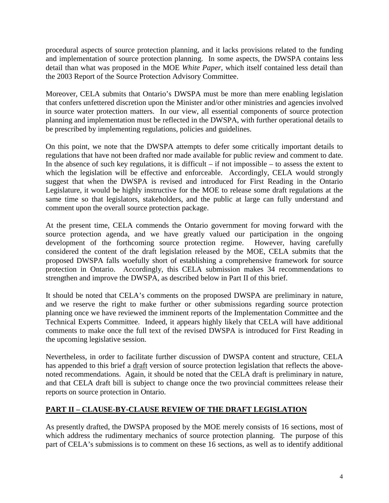<span id="page-4-0"></span>procedural aspects of source protection planning, and it lacks provisions related to the funding and implementation of source protection planning. In some aspects, the DWSPA contains less detail than what was proposed in the MOE *White Paper*, which itself contained less detail than the 2003 Report of the Source Protection Advisory Committee.

Moreover, CELA submits that Ontario's DWSPA must be more than mere enabling legislation that confers unfettered discretion upon the Minister and/or other ministries and agencies involved in source water protection matters. In our view, all essential components of source protection planning and implementation must be reflected in the DWSPA, with further operational details to be prescribed by implementing regulations, policies and guidelines.

On this point, we note that the DWSPA attempts to defer some critically important details to regulations that have not been drafted nor made available for public review and comment to date. In the absence of such key regulations, it is difficult  $-$  if not impossible  $-$  to assess the extent to which the legislation will be effective and enforceable. Accordingly, CELA would strongly suggest that when the DWSPA is revised and introduced for First Reading in the Ontario Legislature, it would be highly instructive for the MOE to release some draft regulations at the same time so that legislators, stakeholders, and the public at large can fully understand and comment upon the overall source protection package.

At the present time, CELA commends the Ontario government for moving forward with the source protection agenda, and we have greatly valued our participation in the ongoing development of the forthcoming source protection regime. However, having carefully considered the content of the draft legislation released by the MOE, CELA submits that the proposed DWSPA falls woefully short of establishing a comprehensive framework for source protection in Ontario. Accordingly, this CELA submission makes 34 recommendations to strengthen and improve the DWSPA, as described below in Part II of this brief.

It should be noted that CELA's comments on the proposed DWSPA are preliminary in nature, and we reserve the right to make further or other submissions regarding source protection planning once we have reviewed the imminent reports of the Implementation Committee and the Technical Experts Committee. Indeed, it appears highly likely that CELA will have additional comments to make once the full text of the revised DWSPA is introduced for First Reading in the upcoming legislative session.

Nevertheless, in order to facilitate further discussion of DWSPA content and structure, CELA has appended to this brief a draft version of source protection legislation that reflects the abovenoted recommendations. Again, it should be noted that the CELA draft is preliminary in nature, and that CELA draft bill is subject to change once the two provincial committees release their reports on source protection in Ontario.

# **PART II – CLAUSE-BY-CLAUSE REVIEW OF THE DRAFT LEGISLATION**

As presently drafted, the DWSPA proposed by the MOE merely consists of 16 sections, most of which address the rudimentary mechanics of source protection planning. The purpose of this part of CELA's submissions is to comment on these 16 sections, as well as to identify additional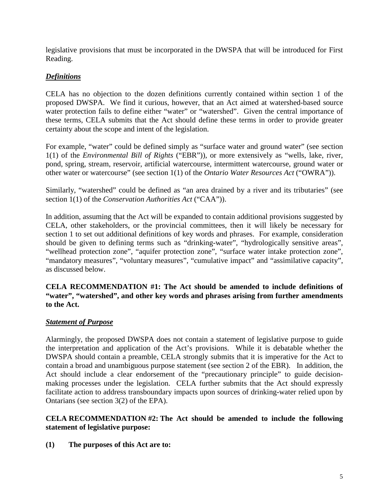<span id="page-5-0"></span>legislative provisions that must be incorporated in the DWSPA that will be introduced for First Reading.

## *Definitions*

CELA has no objection to the dozen definitions currently contained within section 1 of the proposed DWSPA. We find it curious, however, that an Act aimed at watershed-based source water protection fails to define either "water" or "watershed". Given the central importance of these terms, CELA submits that the Act should define these terms in order to provide greater certainty about the scope and intent of the legislation.

For example, "water" could be defined simply as "surface water and ground water" (see section 1(1) of the *Environmental Bill of Rights* ("EBR")), or more extensively as "wells, lake, river, pond, spring, stream, reservoir, artificial watercourse, intermittent watercourse, ground water or other water or watercourse" (see section 1(1) of the *Ontario Water Resources Act* ("OWRA")).

Similarly, "watershed" could be defined as "an area drained by a river and its tributaries" (see section 1(1) of the *Conservation Authorities Act* ("CAA")).

In addition, assuming that the Act will be expanded to contain additional provisions suggested by CELA, other stakeholders, or the provincial committees, then it will likely be necessary for section 1 to set out additional definitions of key words and phrases. For example, consideration should be given to defining terms such as "drinking-water", "hydrologically sensitive areas", "wellhead protection zone", "aquifer protection zone", "surface water intake protection zone", "mandatory measures", "voluntary measures", "cumulative impact" and "assimilative capacity", as discussed below.

**CELA RECOMMENDATION #1: The Act should be amended to include definitions of "water", "watershed", and other key words and phrases arising from further amendments to the Act.**

## *Statement of Purpose*

Alarmingly, the proposed DWSPA does not contain a statement of legislative purpose to guide the interpretation and application of the Act's provisions. While it is debatable whether the DWSPA should contain a preamble, CELA strongly submits that it is imperative for the Act to contain a broad and unambiguous purpose statement (see section 2 of the EBR). In addition, the Act should include a clear endorsement of the "precautionary principle" to guide decisionmaking processes under the legislation. CELA further submits that the Act should expressly facilitate action to address transboundary impacts upon sources of drinking-water relied upon by Ontarians (see section 3(2) of the EPA).

### **CELA RECOMMENDATION #2: The Act should be amended to include the following statement of legislative purpose:**

**(1) The purposes of this Act are to:**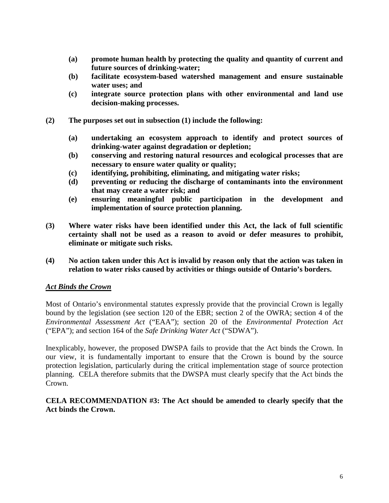- <span id="page-6-0"></span>**(a) promote human health by protecting the quality and quantity of current and future sources of drinking-water;**
- **(b) facilitate ecosystem-based watershed management and ensure sustainable water uses; and**
- **(c) integrate source protection plans with other environmental and land use decision-making processes.**
- **(2) The purposes set out in subsection (1) include the following:**
	- **(a) undertaking an ecosystem approach to identify and protect sources of drinking-water against degradation or depletion;**
	- **(b) conserving and restoring natural resources and ecological processes that are necessary to ensure water quality or quality;**
	- **(c) identifying, prohibiting, eliminating, and mitigating water risks;**
	- **(d) preventing or reducing the discharge of contaminants into the environment that may create a water risk; and**
	- **(e) ensuring meaningful public participation in the development and implementation of source protection planning.**
- **(3) Where water risks have been identified under this Act, the lack of full scientific certainty shall not be used as a reason to avoid or defer measures to prohibit, eliminate or mitigate such risks.**
- **(4) No action taken under this Act is invalid by reason only that the action was taken in relation to water risks caused by activities or things outside of Ontario's borders.**

## *Act Binds the Crown*

Most of Ontario's environmental statutes expressly provide that the provincial Crown is legally bound by the legislation (see section 120 of the EBR; section 2 of the OWRA; section 4 of the *Environmental Assessment Act* ("EAA"); section 20 of the *Environmental Protection Act* ("EPA"); and section 164 of the *Safe Drinking Water Act* ("SDWA").

Inexplicably, however, the proposed DWSPA fails to provide that the Act binds the Crown. In our view, it is fundamentally important to ensure that the Crown is bound by the source protection legislation, particularly during the critical implementation stage of source protection planning. CELA therefore submits that the DWSPA must clearly specify that the Act binds the Crown.

### **CELA RECOMMENDATION #3: The Act should be amended to clearly specify that the Act binds the Crown.**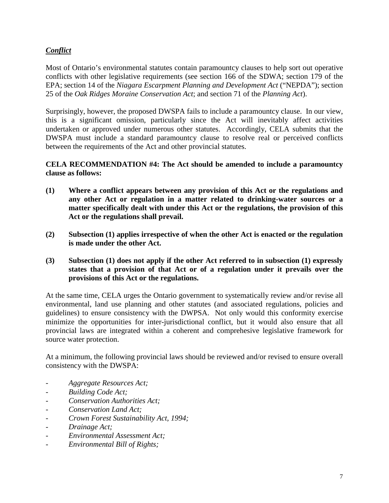# <span id="page-7-0"></span>*Conflict*

Most of Ontario's environmental statutes contain paramountcy clauses to help sort out operative conflicts with other legislative requirements (see section 166 of the SDWA; section 179 of the EPA; section 14 of the *Niagara Escarpment Planning and Development Act* ("NEPDA"); section 25 of the *Oak Ridges Moraine Conservation Act*; and section 71 of the *Planning Act*).

Surprisingly, however, the proposed DWSPA fails to include a paramountcy clause. In our view, this is a significant omission, particularly since the Act will inevitably affect activities undertaken or approved under numerous other statutes. Accordingly, CELA submits that the DWSPA must include a standard paramountcy clause to resolve real or perceived conflicts between the requirements of the Act and other provincial statutes.

## **CELA RECOMMENDATION #4: The Act should be amended to include a paramountcy clause as follows:**

- **(1) Where a conflict appears between any provision of this Act or the regulations and any other Act or regulation in a matter related to drinking-water sources or a matter specifically dealt with under this Act or the regulations, the provision of this Act or the regulations shall prevail.**
- **(2) Subsection (1) applies irrespective of when the other Act is enacted or the regulation is made under the other Act.**
- **(3) Subsection (1) does not apply if the other Act referred to in subsection (1) expressly states that a provision of that Act or of a regulation under it prevails over the provisions of this Act or the regulations.**

At the same time, CELA urges the Ontario government to systematically review and/or revise all environmental, land use planning and other statutes (and associated regulations, policies and guidelines) to ensure consistency with the DWPSA. Not only would this conformity exercise minimize the opportunities for inter-jurisdictional conflict, but it would also ensure that all provincial laws are integrated within a coherent and comprehesive legislative framework for source water protection.

At a minimum, the following provincial laws should be reviewed and/or revised to ensure overall consistency with the DWSPA:

- *Aggregate Resources Act;*
- *Building Code Act;*
- *Conservation Authorities Act;*
- *Conservation Land Act;*
- *Crown Forest Sustainability Act, 1994;*
- *Drainage Act;*
- *Environmental Assessment Act;*
- *Environmental Bill of Rights;*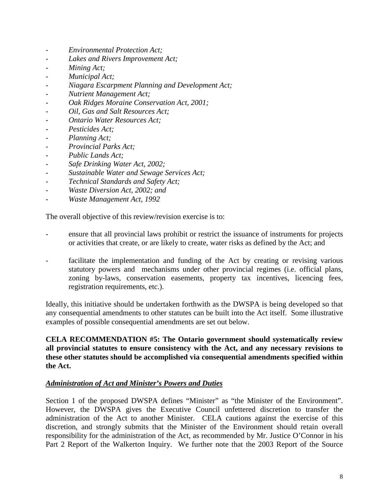- <span id="page-8-0"></span>- *Environmental Protection Act;*
- *Lakes and Rivers Improvement Act;*
- *Mining Act;*
- *Municipal Act;*
- *Niagara Escarpment Planning and Development Act;*
- *Nutrient Management Act;*
- *Oak Ridges Moraine Conservation Act, 2001;*
- *Oil, Gas and Salt Resources Act;*
- *Ontario Water Resources Act;*
- *Pesticides Act;*
- *Planning Act;*
- *Provincial Parks Act;*
- *Public Lands Act;*
- *Safe Drinking Water Act, 2002;*
- *Sustainable Water and Sewage Services Act;*
- *Technical Standards and Safety Act;*
- *Waste Diversion Act, 2002; and*
- *Waste Management Act, 1992*

The overall objective of this review/revision exercise is to:

- ensure that all provincial laws prohibit or restrict the issuance of instruments for projects or activities that create, or are likely to create, water risks as defined by the Act; and
- facilitate the implementation and funding of the Act by creating or revising various statutory powers and mechanisms under other provincial regimes (i.e. official plans, zoning by-laws, conservation easements, property tax incentives, licencing fees, registration requirements, etc.).

Ideally, this initiative should be undertaken forthwith as the DWSPA is being developed so that any consequential amendments to other statutes can be built into the Act itself. Some illustrative examples of possible consequential amendments are set out below.

### **CELA RECOMMENDATION #5: The Ontario government should systematically review all provincial statutes to ensure consistency with the Act, and any necessary revisions to these other statutes should be accomplished via consequential amendments specified within the Act.**

#### *Administration of Act and Minister's Powers and Duties*

Section 1 of the proposed DWSPA defines "Minister" as "the Minister of the Environment". However, the DWSPA gives the Executive Council unfettered discretion to transfer the administration of the Act to another Minister. CELA cautions against the exercise of this discretion, and strongly submits that the Minister of the Environment should retain overall responsibility for the administration of the Act, as recommended by Mr. Justice O'Connor in his Part 2 Report of the Walkerton Inquiry. We further note that the 2003 Report of the Source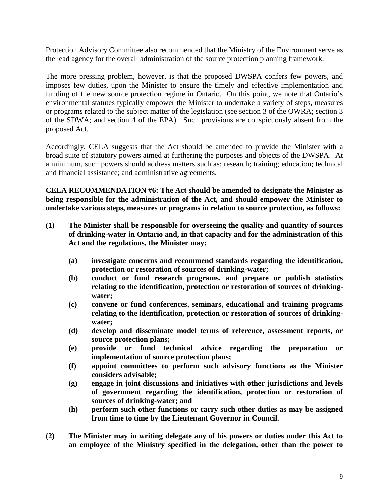Protection Advisory Committee also recommended that the Ministry of the Environment serve as the lead agency for the overall administration of the source protection planning framework.

The more pressing problem, however, is that the proposed DWSPA confers few powers, and imposes few duties, upon the Minister to ensure the timely and effective implementation and funding of the new source protection regime in Ontario. On this point, we note that Ontario's environmental statutes typically empower the Minister to undertake a variety of steps, measures or programs related to the subject matter of the legislation (see section 3 of the OWRA; section 3 of the SDWA; and section 4 of the EPA). Such provisions are conspicuously absent from the proposed Act.

Accordingly, CELA suggests that the Act should be amended to provide the Minister with a broad suite of statutory powers aimed at furthering the purposes and objects of the DWSPA. At a minimum, such powers should address matters such as: research; training; education; technical and financial assistance; and administrative agreements.

**CELA RECOMMENDATION #6: The Act should be amended to designate the Minister as being responsible for the administration of the Act, and should empower the Minister to undertake various steps, measures or programs in relation to source protection, as follows:**

- **(1) The Minister shall be responsible for overseeing the quality and quantity of sources of drinking-water in Ontario and, in that capacity and for the administration of this Act and the regulations, the Minister may:**
	- **(a) investigate concerns and recommend standards regarding the identification, protection or restoration of sources of drinking-water;**
	- **(b) conduct or fund research programs, and prepare or publish statistics relating to the identification, protection or restoration of sources of drinkingwater;**
	- **(c) convene or fund conferences, seminars, educational and training programs relating to the identification, protection or restoration of sources of drinkingwater;**
	- **(d) develop and disseminate model terms of reference, assessment reports, or source protection plans;**
	- **(e) provide or fund technical advice regarding the preparation or implementation of source protection plans;**
	- **(f) appoint committees to perform such advisory functions as the Minister considers advisable;**
	- **(g) engage in joint discussions and initiatives with other jurisdictions and levels of government regarding the identification, protection or restoration of sources of drinking-water; and**
	- **(h) perform such other functions or carry such other duties as may be assigned from time to time by the Lieutenant Governor in Council.**
- **(2) The Minister may in writing delegate any of his powers or duties under this Act to an employee of the Ministry specified in the delegation, other than the power to**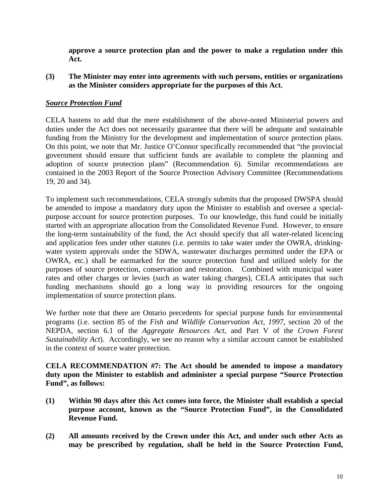<span id="page-10-0"></span>**approve a source protection plan and the power to make a regulation under this Act.**

**(3) The Minister may enter into agreements with such persons, entities or organizations as the Minister considers appropriate for the purposes of this Act.**

## *Source Protection Fund*

CELA hastens to add that the mere establishment of the above-noted Ministerial powers and duties under the Act does not necessarily guarantee that there will be adequate and sustainable funding from the Ministry for the development and implementation of source protection plans. On this point, we note that Mr. Justice O'Connor specifically recommended that "the provincial government should ensure that sufficient funds are available to complete the planning and adoption of source protection plans" (Recommendation 6). Similar recommendations are contained in the 2003 Report of the Source Protection Advisory Committee (Recommendations 19, 20 and 34).

To implement such recommendations, CELA strongly submits that the proposed DWSPA should be amended to impose a mandatory duty upon the Minister to establish and oversee a specialpurpose account for source protection purposes. To our knowledge, this fund could be initially started with an appropriate allocation from the Consolidated Revenue Fund. However, to ensure the long-term sustainability of the fund, the Act should specify that all water-related licencing and application fees under other statutes (i.e. permits to take water under the OWRA, drinkingwater system approvals under the SDWA, wastewater discharges permitted under the EPA or OWRA, etc.) shall be earmarked for the source protection fund and utilized solely for the purposes of source protection, conservation and restoration. Combined with municipal water rates and other charges or levies (such as water taking charges), CELA anticipates that such funding mechanisms should go a long way in providing resources for the ongoing implementation of source protection plans.

We further note that there are Ontario precedents for special purpose funds for environmental programs (i.e. section 85 of the *Fish and Wildlife Conservation Act, 1997*, section 20 of the NEPDA, section 6.1 of the *Aggregate Resources Act*, and Part V of the *Crown Forest Sustainability Act*). Accordingly, we see no reason why a similar account cannot be established in the context of source water protection.

**CELA RECOMMENDATION #7: The Act should be amended to impose a mandatory duty upon the Minister to establish and administer a special purpose "Source Protection Fund", as follows:**

- **(1) Within 90 days after this Act comes into force, the Minister shall establish a special purpose account, known as the "Source Protection Fund", in the Consolidated Revenue Fund.**
- **(2) All amounts received by the Crown under this Act, and under such other Acts as may be prescribed by regulation, shall be held in the Source Protection Fund,**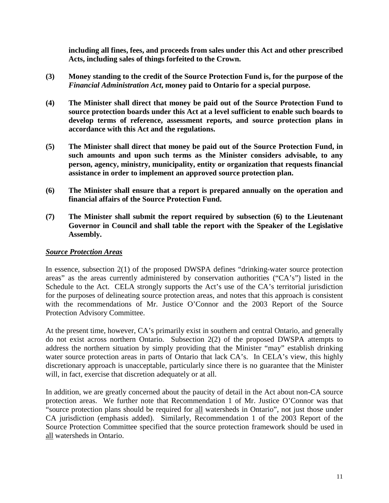<span id="page-11-0"></span>**including all fines, fees, and proceeds from sales under this Act and other prescribed Acts, including sales of things forfeited to the Crown.**

- **(3) Money standing to the credit of the Source Protection Fund is, for the purpose of the** *Financial Administration Act***, money paid to Ontario for a special purpose.**
- **(4) The Minister shall direct that money be paid out of the Source Protection Fund to source protection boards under this Act at a level sufficient to enable such boards to develop terms of reference, assessment reports, and source protection plans in accordance with this Act and the regulations.**
- **(5) The Minister shall direct that money be paid out of the Source Protection Fund, in such amounts and upon such terms as the Minister considers advisable, to any person, agency, ministry, municipality, entity or organization that requests financial assistance in order to implement an approved source protection plan.**
- **(6) The Minister shall ensure that a report is prepared annually on the operation and financial affairs of the Source Protection Fund.**
- **(7) The Minister shall submit the report required by subsection (6) to the Lieutenant Governor in Council and shall table the report with the Speaker of the Legislative Assembly.**

#### *Source Protection Areas*

In essence, subsection 2(1) of the proposed DWSPA defines "drinking-water source protection areas" as the areas currently administered by conservation authorities ("CA's") listed in the Schedule to the Act. CELA strongly supports the Act's use of the CA's territorial jurisdiction for the purposes of delineating source protection areas, and notes that this approach is consistent with the recommendations of Mr. Justice O'Connor and the 2003 Report of the Source Protection Advisory Committee.

At the present time, however, CA's primarily exist in southern and central Ontario, and generally do not exist across northern Ontario. Subsection 2(2) of the proposed DWSPA attempts to address the northern situation by simply providing that the Minister "may" establish drinking water source protection areas in parts of Ontario that lack CA's. In CELA's view, this highly discretionary approach is unacceptable, particularly since there is no guarantee that the Minister will, in fact, exercise that discretion adequately or at all.

In addition, we are greatly concerned about the paucity of detail in the Act about non-CA source protection areas. We further note that Recommendation 1 of Mr. Justice O'Connor was that "source protection plans should be required for all watersheds in Ontario", not just those under CA jurisdiction (emphasis added). Similarly, Recommendation 1 of the 2003 Report of the Source Protection Committee specified that the source protection framework should be used in all watersheds in Ontario.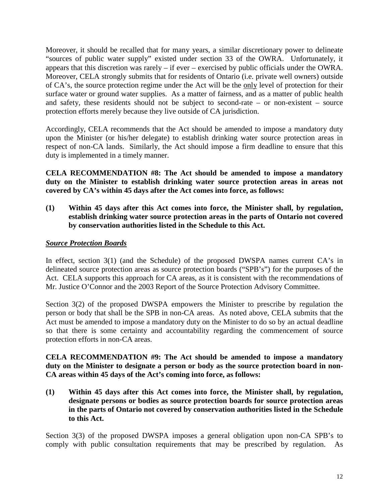<span id="page-12-0"></span>Moreover, it should be recalled that for many years, a similar discretionary power to delineate "sources of public water supply" existed under section 33 of the OWRA. Unfortunately, it appears that this discretion was rarely – if ever – exercised by public officials under the OWRA. Moreover, CELA strongly submits that for residents of Ontario (i.e. private well owners) outside of CA's, the source protection regime under the Act will be the only level of protection for their surface water or ground water supplies. As a matter of fairness, and as a matter of public health and safety, these residents should not be subject to second-rate – or non-existent – source protection efforts merely because they live outside of CA jurisdiction.

Accordingly, CELA recommends that the Act should be amended to impose a mandatory duty upon the Minister (or his/her delegate) to establish drinking water source protection areas in respect of non-CA lands. Similarly, the Act should impose a firm deadline to ensure that this duty is implemented in a timely manner.

**CELA RECOMMENDATION #8: The Act should be amended to impose a mandatory duty on the Minister to establish drinking water source protection areas in areas not covered by CA's within 45 days after the Act comes into force, as follows:**

**(1) Within 45 days after this Act comes into force, the Minister shall, by regulation, establish drinking water source protection areas in the parts of Ontario not covered by conservation authorities listed in the Schedule to this Act.**

## *Source Protection Boards*

In effect, section 3(1) (and the Schedule) of the proposed DWSPA names current CA's in delineated source protection areas as source protection boards ("SPB's") for the purposes of the Act. CELA supports this approach for CA areas, as it is consistent with the recommendations of Mr. Justice O'Connor and the 2003 Report of the Source Protection Advisory Committee.

Section 3(2) of the proposed DWSPA empowers the Minister to prescribe by regulation the person or body that shall be the SPB in non-CA areas. As noted above, CELA submits that the Act must be amended to impose a mandatory duty on the Minister to do so by an actual deadline so that there is some certainty and accountability regarding the commencement of source protection efforts in non-CA areas.

**CELA RECOMMENDATION #9: The Act should be amended to impose a mandatory duty on the Minister to designate a person or body as the source protection board in non-CA areas within 45 days of the Act's coming into force, as follows:**

**(1) Within 45 days after this Act comes into force, the Minister shall, by regulation, designate persons or bodies as source protection boards for source protection areas in the parts of Ontario not covered by conservation authorities listed in the Schedule to this Act.**

Section 3(3) of the proposed DWSPA imposes a general obligation upon non-CA SPB's to comply with public consultation requirements that may be prescribed by regulation. As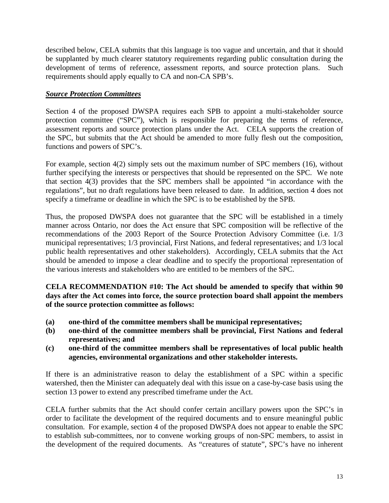<span id="page-13-0"></span>described below, CELA submits that this language is too vague and uncertain, and that it should be supplanted by much clearer statutory requirements regarding public consultation during the development of terms of reference, assessment reports, and source protection plans. Such requirements should apply equally to CA and non-CA SPB's.

## *Source Protection Committees*

Section 4 of the proposed DWSPA requires each SPB to appoint a multi-stakeholder source protection committee ("SPC"), which is responsible for preparing the terms of reference, assessment reports and source protection plans under the Act. CELA supports the creation of the SPC, but submits that the Act should be amended to more fully flesh out the composition, functions and powers of SPC's.

For example, section 4(2) simply sets out the maximum number of SPC members (16), without further specifying the interests or perspectives that should be represented on the SPC. We note that section 4(3) provides that the SPC members shall be appointed "in accordance with the regulations", but no draft regulations have been released to date. In addition, section 4 does not specify a timeframe or deadline in which the SPC is to be established by the SPB.

Thus, the proposed DWSPA does not guarantee that the SPC will be established in a timely manner across Ontario, nor does the Act ensure that SPC composition will be reflective of the recommendations of the 2003 Report of the Source Protection Advisory Committee (i.e. 1/3 municipal representatives; 1/3 provincial, First Nations, and federal representatives; and 1/3 local public health representatives and other stakeholders). Accordingly, CELA submits that the Act should be amended to impose a clear deadline and to specify the proportional representation of the various interests and stakeholders who are entitled to be members of the SPC.

**CELA RECOMMENDATION #10: The Act should be amended to specify that within 90 days after the Act comes into force, the source protection board shall appoint the members of the source protection committee as follows:**

- **(a) one-third of the committee members shall be municipal representatives;**
- **(b) one-third of the committee members shall be provincial, First Nations and federal representatives; and**
- **(c) one-third of the committee members shall be representatives of local public health agencies, environmental organizations and other stakeholder interests.**

If there is an administrative reason to delay the establishment of a SPC within a specific watershed, then the Minister can adequately deal with this issue on a case-by-case basis using the section 13 power to extend any prescribed timeframe under the Act.

CELA further submits that the Act should confer certain ancillary powers upon the SPC's in order to facilitate the development of the required documents and to ensure meaningful public consultation. For example, section 4 of the proposed DWSPA does not appear to enable the SPC to establish sub-committees, nor to convene working groups of non-SPC members, to assist in the development of the required documents. As "creatures of statute", SPC's have no inherent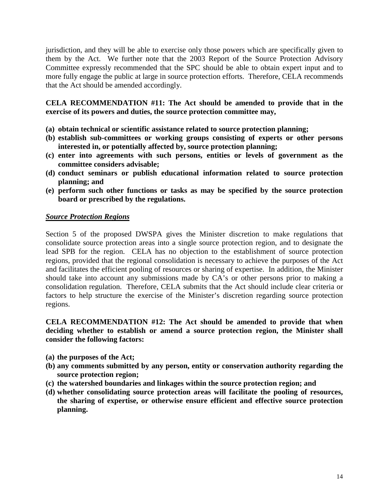<span id="page-14-0"></span>jurisdiction, and they will be able to exercise only those powers which are specifically given to them by the Act. We further note that the 2003 Report of the Source Protection Advisory Committee expressly recommended that the SPC should be able to obtain expert input and to more fully engage the public at large in source protection efforts. Therefore, CELA recommends that the Act should be amended accordingly.

**CELA RECOMMENDATION #11: The Act should be amended to provide that in the exercise of its powers and duties, the source protection committee may,**

- **(a) obtain technical or scientific assistance related to source protection planning;**
- **(b) establish sub-committees or working groups consisting of experts or other persons interested in, or potentially affected by, source protection planning;**
- **(c) enter into agreements with such persons, entities or levels of government as the committee considers advisable;**
- **(d) conduct seminars or publish educational information related to source protection planning; and**
- **(e) perform such other functions or tasks as may be specified by the source protection board or prescribed by the regulations.**

## *Source Protection Regions*

Section 5 of the proposed DWSPA gives the Minister discretion to make regulations that consolidate source protection areas into a single source protection region, and to designate the lead SPB for the region. CELA has no objection to the establishment of source protection regions, provided that the regional consolidation is necessary to achieve the purposes of the Act and facilitates the efficient pooling of resources or sharing of expertise. In addition, the Minister should take into account any submissions made by CA's or other persons prior to making a consolidation regulation. Therefore, CELA submits that the Act should include clear criteria or factors to help structure the exercise of the Minister's discretion regarding source protection regions.

**CELA RECOMMENDATION #12: The Act should be amended to provide that when deciding whether to establish or amend a source protection region, the Minister shall consider the following factors:**

- **(a) the purposes of the Act;**
- **(b) any comments submitted by any person, entity or conservation authority regarding the source protection region;**
- **(c) the watershed boundaries and linkages within the source protection region; and**
- **(d) whether consolidating source protection areas will facilitate the pooling of resources, the sharing of expertise, or otherwise ensure efficient and effective source protection planning.**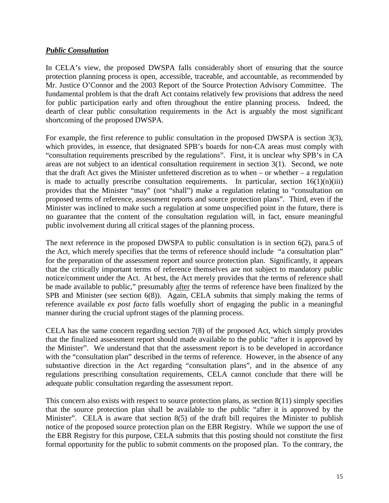## <span id="page-15-0"></span>*Public Consultation*

In CELA's view, the proposed DWSPA falls considerably short of ensuring that the source protection planning process is open, accessible, traceable, and accountable, as recommended by Mr. Justice O'Connor and the 2003 Report of the Source Protection Advisory Committee. The fundamental problem is that the draft Act contains relatively few provisions that address the need for public participation early and often throughout the entire planning process. Indeed, the dearth of clear public consultation requirements in the Act is arguably the most significant shortcoming of the proposed DWSPA.

For example, the first reference to public consultation in the proposed DWSPA is section 3(3), which provides, in essence, that designated SPB's boards for non-CA areas must comply with "consultation requirements prescribed by the regulations". First, it is unclear why SPB's in CA areas are not subject to an identical consultation requirement in section 3(1). Second, we note that the draft Act gives the Minister unfettered discretion as to when – or whether – a regulation is made to actually prescribe consultation requirements. In particular, section  $16(1)(n)(iii)$ provides that the Minister "may" (not "shall") make a regulation relating to "consultation on proposed terms of reference, assessment reports and source protection plans". Third, even if the Minister was inclined to make such a regulation at some unspecified point in the future, there is no guarantee that the content of the consultation regulation will, in fact, ensure meaningful public involvement during all critical stages of the planning process.

The next reference in the proposed DWSPA to public consultation is in section 6(2), para.5 of the Act, which merely specifies that the terms of reference should include "a consultation plan" for the preparation of the assessment report and source protection plan. Significantly, it appears that the critically important terms of reference themselves are not subject to mandatory public notice/comment under the Act. At best, the Act merely provides that the terms of reference shall be made available to public," presumably after the terms of reference have been finalized by the SPB and Minister (see section 6(8)). Again, CELA submits that simply making the terms of reference available *ex post facto* falls woefully short of engaging the public in a meaningful manner during the crucial upfront stages of the planning process.

CELA has the same concern regarding section 7(8) of the proposed Act, which simply provides that the finalized assessment report should made available to the public "after it is approved by the Minister". We understand that that the assessment report is to be developed in accordance with the "consultation plan" described in the terms of reference. However, in the absence of any substantive direction in the Act regarding "consultation plans", and in the absence of any regulations prescribing consultation requirements, CELA cannot conclude that there will be adequate public consultation regarding the assessment report.

This concern also exists with respect to source protection plans, as section 8(11) simply specifies that the source protection plan shall be available to the public "after it is approved by the Minister". CELA is aware that section 8(5) of the draft bill requires the Minister to publish notice of the proposed source protection plan on the EBR Registry. While we support the use of the EBR Registry for this purpose, CELA submits that this posting should not constitute the first formal opportunity for the public to submit comments on the proposed plan. To the contrary, the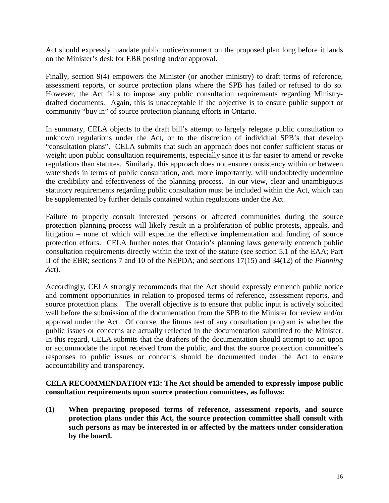Act should expressly mandate public notice/comment on the proposed plan long before it lands on the Minister's desk for EBR posting and/or approval.

Finally, section 9(4) empowers the Minister (or another ministry) to draft terms of reference, assessment reports, or source protection plans where the SPB has failed or refused to do so. However, the Act fails to impose any public consultation requirements regarding Ministrydrafted documents. Again, this is unacceptable if the objective is to ensure public support or community "buy in" of source protection planning efforts in Ontario.

In summary, CELA objects to the draft bill's attempt to largely relegate public consultation to unknown regulations under the Act, or to the discretion of individual SPB's that develop "consultation plans". CELA submits that such an approach does not confer sufficient status or weight upon public consultation requirements, especially since it is far easier to amend or revoke regulations than statutes. Similarly, this approach does not ensure consistency within or between watersheds in terms of public consultation, and, more importantly, will undoubtedly undermine the credibility and effectiveness of the planning process. In our view, clear and unambiguous statutory requirements regarding public consultation must be included within the Act, which can be supplemented by further details contained within regulations under the Act.

Failure to properly consult interested persons or affected communities during the source protection planning process will likely result in a proliferation of public protests, appeals, and litigation – none of which will expedite the effective implementation and funding of source protection efforts. CELA further notes that Ontario's planning laws generally entrench public consultation requirements directly within the text of the statute (see section 5.1 of the EAA; Part II of the EBR; sections 7 and 10 of the NEPDA; and sections 17(15) and 34(12) of the *Planning Act*).

Accordingly, CELA strongly recommends that the Act should expressly entrench public notice and comment opportunities in relation to proposed terms of reference, assessment reports, and source protection plans. The overall objective is to ensure that public input is actively solicited well before the submission of the documentation from the SPB to the Minister for review and/or approval under the Act. Of course, the litmus test of any consultation program is whether the public issues or concerns are actually reflected in the documentation submitted to the Minister. In this regard, CELA submits that the drafters of the documentation should attempt to act upon or accommodate the input received from the public, and that the source protection committee's responses to public issues or concerns should be documented under the Act to ensure accountability and transparency.

### **CELA RECOMMENDATION #13: The Act should be amended to expressly impose public consultation requirements upon source protection committees, as follows:**

**(1) When preparing proposed terms of reference, assessment reports, and source protection plans under this Act, the source protection committee shall consult with such persons as may be interested in or affected by the matters under consideration by the board.**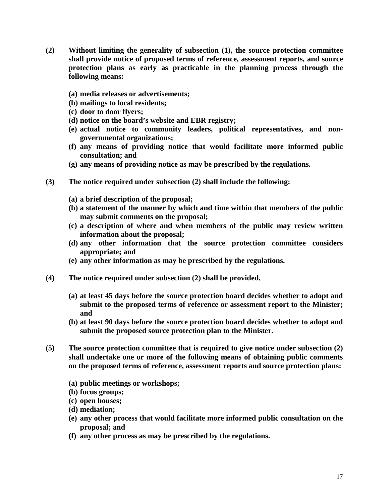- **(2) Without limiting the generality of subsection (1), the source protection committee shall provide notice of proposed terms of reference, assessment reports, and source protection plans as early as practicable in the planning process through the following means:**
	- **(a) media releases or advertisements;**
	- **(b) mailings to local residents;**
	- **(c) door to door flyers;**
	- **(d) notice on the board's website and EBR registry;**
	- **(e) actual notice to community leaders, political representatives, and nongovernmental organizations;**
	- **(f) any means of providing notice that would facilitate more informed public consultation; and**
	- **(g) any means of providing notice as may be prescribed by the regulations.**
- **(3) The notice required under subsection (2) shall include the following:**
	- **(a) a brief description of the proposal;**
	- **(b) a statement of the manner by which and time within that members of the public may submit comments on the proposal;**
	- **(c) a description of where and when members of the public may review written information about the proposal;**
	- **(d) any other information that the source protection committee considers appropriate; and**
	- **(e) any other information as may be prescribed by the regulations.**
- **(4) The notice required under subsection (2) shall be provided,**
	- **(a) at least 45 days before the source protection board decides whether to adopt and submit to the proposed terms of reference or assessment report to the Minister; and**
	- **(b) at least 90 days before the source protection board decides whether to adopt and submit the proposed source protection plan to the Minister.**
- **(5) The source protection committee that is required to give notice under subsection (2) shall undertake one or more of the following means of obtaining public comments on the proposed terms of reference, assessment reports and source protection plans:**
	- **(a) public meetings or workshops;**
	- **(b) focus groups;**
	- **(c) open houses;**
	- **(d) mediation;**
	- **(e) any other process that would facilitate more informed public consultation on the proposal; and**
	- **(f) any other process as may be prescribed by the regulations.**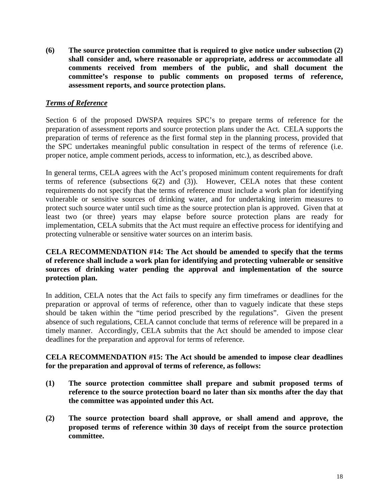<span id="page-18-0"></span>**(6) The source protection committee that is required to give notice under subsection (2) shall consider and, where reasonable or appropriate, address or accommodate all comments received from members of the public, and shall document the committee's response to public comments on proposed terms of reference, assessment reports, and source protection plans.**

## *Terms of Reference*

Section 6 of the proposed DWSPA requires SPC's to prepare terms of reference for the preparation of assessment reports and source protection plans under the Act. CELA supports the preparation of terms of reference as the first formal step in the planning process, provided that the SPC undertakes meaningful public consultation in respect of the terms of reference (i.e. proper notice, ample comment periods, access to information, etc.), as described above.

In general terms, CELA agrees with the Act's proposed minimum content requirements for draft terms of reference (subsections  $6(2)$  and  $(3)$ ). However, CELA notes that these content requirements do not specify that the terms of reference must include a work plan for identifying vulnerable or sensitive sources of drinking water, and for undertaking interim measures to protect such source water until such time as the source protection plan is approved. Given that at least two (or three) years may elapse before source protection plans are ready for implementation, CELA submits that the Act must require an effective process for identifying and protecting vulnerable or sensitive water sources on an interim basis.

## **CELA RECOMMENDATION #14: The Act should be amended to specify that the terms of reference shall include a work plan for identifying and protecting vulnerable or sensitive sources of drinking water pending the approval and implementation of the source protection plan.**

In addition, CELA notes that the Act fails to specify any firm timeframes or deadlines for the preparation or approval of terms of reference, other than to vaguely indicate that these steps should be taken within the "time period prescribed by the regulations". Given the present absence of such regulations, CELA cannot conclude that terms of reference will be prepared in a timely manner. Accordingly, CELA submits that the Act should be amended to impose clear deadlines for the preparation and approval for terms of reference.

### **CELA RECOMMENDATION #15: The Act should be amended to impose clear deadlines for the preparation and approval of terms of reference, as follows:**

- **(1) The source protection committee shall prepare and submit proposed terms of reference to the source protection board no later than six months after the day that the committee was appointed under this Act.**
- **(2) The source protection board shall approve, or shall amend and approve, the proposed terms of reference within 30 days of receipt from the source protection committee.**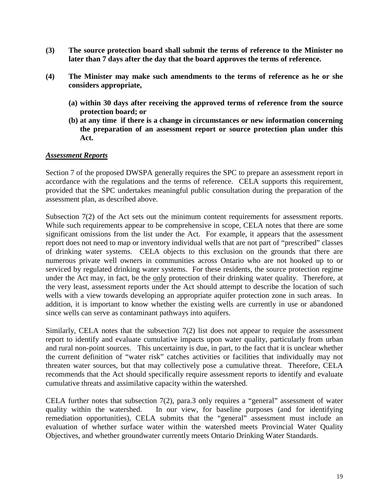- <span id="page-19-0"></span>**(3) The source protection board shall submit the terms of reference to the Minister no later than 7 days after the day that the board approves the terms of reference.**
- **(4) The Minister may make such amendments to the terms of reference as he or she considers appropriate,**
	- **(a) within 30 days after receiving the approved terms of reference from the source protection board; or**
	- **(b) at any time if there is a change in circumstances or new information concerning the preparation of an assessment report or source protection plan under this Act.**

#### *Assessment Reports*

Section 7 of the proposed DWSPA generally requires the SPC to prepare an assessment report in accordance with the regulations and the terms of reference. CELA supports this requirement, provided that the SPC undertakes meaningful public consultation during the preparation of the assessment plan, as described above.

Subsection 7(2) of the Act sets out the minimum content requirements for assessment reports. While such requirements appear to be comprehensive in scope, CELA notes that there are some significant omissions from the list under the Act. For example, it appears that the assessment report does not need to map or inventory individual wells that are not part of "prescribed" classes of drinking water systems. CELA objects to this exclusion on the grounds that there are numerous private well owners in communities across Ontario who are not hooked up to or serviced by regulated drinking water systems. For these residents, the source protection regime under the Act may, in fact, be the only protection of their drinking water quality. Therefore, at the very least, assessment reports under the Act should attempt to describe the location of such wells with a view towards developing an appropriate aquifer protection zone in such areas. In addition, it is important to know whether the existing wells are currently in use or abandoned since wells can serve as contaminant pathways into aquifers.

Similarly, CELA notes that the subsection  $7(2)$  list does not appear to require the assessment report to identify and evaluate cumulative impacts upon water quality, particularly from urban and rural non-point sources. This uncertainty is due, in part, to the fact that it is unclear whether the current definition of "water risk" catches activities or facilities that individually may not threaten water sources, but that may collectively pose a cumulative threat. Therefore, CELA recommends that the Act should specifically require assessment reports to identify and evaluate cumulative threats and assimilative capacity within the watershed.

CELA further notes that subsection 7(2), para.3 only requires a "general" assessment of water quality within the watershed. In our view, for baseline purposes (and for identifying remediation opportunities), CELA submits that the "general" assessment must include an evaluation of whether surface water within the watershed meets Provincial Water Quality Objectives, and whether groundwater currently meets Ontario Drinking Water Standards.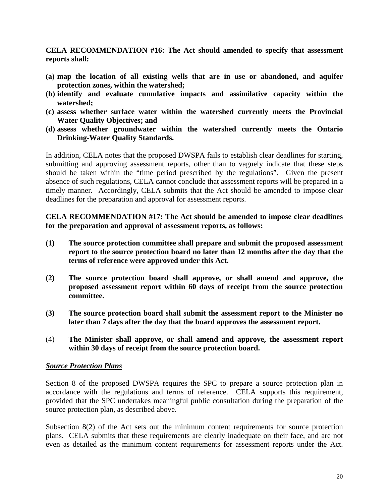<span id="page-20-0"></span>**CELA RECOMMENDATION #16: The Act should amended to specify that assessment reports shall:**

- **(a) map the location of all existing wells that are in use or abandoned, and aquifer protection zones, within the watershed;**
- **(b) identify and evaluate cumulative impacts and assimilative capacity within the watershed;**
- **(c) assess whether surface water within the watershed currently meets the Provincial Water Quality Objectives; and**
- **(d) assess whether groundwater within the watershed currently meets the Ontario Drinking-Water Quality Standards.**

In addition, CELA notes that the proposed DWSPA fails to establish clear deadlines for starting, submitting and approving assessment reports, other than to vaguely indicate that these steps should be taken within the "time period prescribed by the regulations". Given the present absence of such regulations, CELA cannot conclude that assessment reports will be prepared in a timely manner. Accordingly, CELA submits that the Act should be amended to impose clear deadlines for the preparation and approval for assessment reports.

**CELA RECOMMENDATION #17: The Act should be amended to impose clear deadlines for the preparation and approval of assessment reports, as follows:**

- **(1) The source protection committee shall prepare and submit the proposed assessment report to the source protection board no later than 12 months after the day that the terms of reference were approved under this Act.**
- **(2) The source protection board shall approve, or shall amend and approve, the proposed assessment report within 60 days of receipt from the source protection committee.**
- **(3) The source protection board shall submit the assessment report to the Minister no later than 7 days after the day that the board approves the assessment report.**
- (4) **The Minister shall approve, or shall amend and approve, the assessment report within 30 days of receipt from the source protection board.**

#### *Source Protection Plans*

Section 8 of the proposed DWSPA requires the SPC to prepare a source protection plan in accordance with the regulations and terms of reference. CELA supports this requirement, provided that the SPC undertakes meaningful public consultation during the preparation of the source protection plan, as described above.

Subsection 8(2) of the Act sets out the minimum content requirements for source protection plans. CELA submits that these requirements are clearly inadequate on their face, and are not even as detailed as the minimum content requirements for assessment reports under the Act.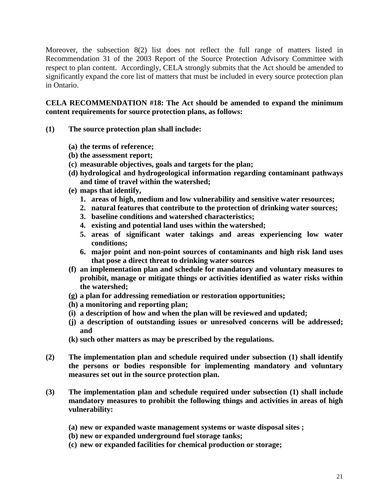Moreover, the subsection 8(2) list does not reflect the full range of matters listed in Recommendation 31 of the 2003 Report of the Source Protection Advisory Committee with respect to plan content. Accordingly, CELA strongly submits that the Act should be amended to significantly expand the core list of matters that must be included in every source protection plan in Ontario.

## **CELA RECOMMENDATION #18: The Act should be amended to expand the minimum content requirements for source protection plans, as follows:**

- **(1) The source protection plan shall include:**
	- **(a) the terms of reference;**
	- **(b) the assessment report;**
	- **(c) measurable objectives, goals and targets for the plan;**
	- **(d) hydrological and hydrogeological information regarding contaminant pathways and time of travel within the watershed;**
	- **(e) maps that identify,**
		- **1. areas of high, medium and low vulnerability and sensitive water resources;**
		- **2. natural features that contribute to the protection of drinking water sources;**
		- **3. baseline conditions and watershed characteristics;**
		- **4. existing and potential land uses within the watershed;**
		- **5. areas of significant water takings and areas experiencing low water conditions;**
		- **6. major point and non-point sources of contaminants and high risk land uses that pose a direct threat to drinking water sources**
	- **(f) an implementation plan and schedule for mandatory and voluntary measures to prohibit, manage or mitigate things or activities identified as water risks within the watershed;**
	- **(g) a plan for addressing remediation or restoration opportunities;**
	- **(h) a monitoring and reporting plan;**
	- **(i) a description of how and when the plan will be reviewed and updated;**
	- **(j) a description of outstanding issues or unresolved concerns will be addressed; and**
	- **(k) such other matters as may be prescribed by the regulations.**
- **(2) The implementation plan and schedule required under subsection (1) shall identify the persons or bodies responsible for implementing mandatory and voluntary measures set out in the source protection plan.**
- **(3) The implementation plan and schedule required under subsection (1) shall include mandatory measures to prohibit the following things and activities in areas of high vulnerability:**
	- **(a) new or expanded waste management systems or waste disposal sites ;**
	- **(b) new or expanded underground fuel storage tanks;**
	- **(c) new or expanded facilities for chemical production or storage;**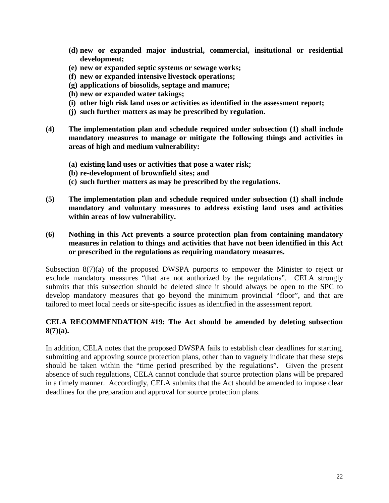- **(d) new or expanded major industrial, commercial, insitutional or residential development;**
- **(e) new or expanded septic systems or sewage works;**
- **(f) new or expanded intensive livestock operations;**
- **(g) applications of biosolids, septage and manure;**
- **(h) new or expanded water takings;**
- **(i) other high risk land uses or activities as identified in the assessment report;**
- **(j) such further matters as may be prescribed by regulation.**
- **(4) The implementation plan and schedule required under subsection (1) shall include mandatory measures to manage or mitigate the following things and activities in areas of high and medium vulnerability:**
	- **(a) existing land uses or activities that pose a water risk;**
	- **(b) re-development of brownfield sites; and**
	- **(c) such further matters as may be prescribed by the regulations.**
- **(5) The implementation plan and schedule required under subsection (1) shall include mandatory and voluntary measures to address existing land uses and activities within areas of low vulnerability.**

## **(6) Nothing in this Act prevents a source protection plan from containing mandatory measures in relation to things and activities that have not been identified in this Act or prescribed in the regulations as requiring mandatory measures.**

Subsection 8(7)(a) of the proposed DWSPA purports to empower the Minister to reject or exclude mandatory measures "that are not authorized by the regulations". CELA strongly submits that this subsection should be deleted since it should always be open to the SPC to develop mandatory measures that go beyond the minimum provincial "floor", and that are tailored to meet local needs or site-specific issues as identified in the assessment report.

## **CELA RECOMMENDATION #19: The Act should be amended by deleting subsection 8(7)(a).**

In addition, CELA notes that the proposed DWSPA fails to establish clear deadlines for starting, submitting and approving source protection plans, other than to vaguely indicate that these steps should be taken within the "time period prescribed by the regulations". Given the present absence of such regulations, CELA cannot conclude that source protection plans will be prepared in a timely manner. Accordingly, CELA submits that the Act should be amended to impose clear deadlines for the preparation and approval for source protection plans.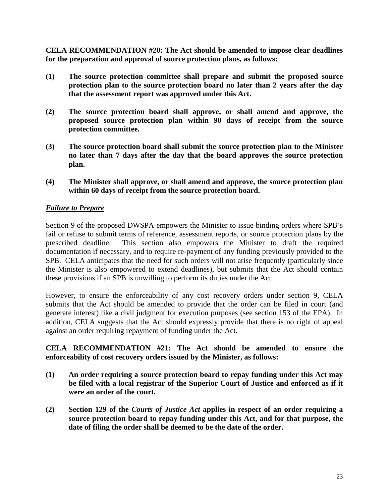<span id="page-23-0"></span>**CELA RECOMMENDATION #20: The Act should be amended to impose clear deadlines for the preparation and approval of source protection plans, as follows:**

- **(1) The source protection committee shall prepare and submit the proposed source protection plan to the source protection board no later than 2 years after the day that the assessment report was approved under this Act.**
- **(2) The source protection board shall approve, or shall amend and approve, the proposed source protection plan within 90 days of receipt from the source protection committee.**
- **(3) The source protection board shall submit the source protection plan to the Minister no later than 7 days after the day that the board approves the source protection plan.**
- **(4) The Minister shall approve, or shall amend and approve, the source protection plan within 60 days of receipt from the source protection board.**

## *Failure to Prepare*

Section 9 of the proposed DWSPA empowers the Minister to issue binding orders where SPB's fail or refuse to submit terms of reference, assessment reports, or source protection plans by the prescribed deadline. This section also empowers the Minister to draft the required documentation if necessary, and to require re-payment of any funding previously provided to the SPB. CELA anticipates that the need for such orders will not arise frequently (particularly since the Minister is also empowered to extend deadlines), but submits that the Act should contain these provisions if an SPB is unwilling to perform its duties under the Act.

However, to ensure the enforceability of any cost recovery orders under section 9, CELA submits that the Act should be amended to provide that the order can be filed in court (and generate interest) like a civil judgment for execution purposes (see section 153 of the EPA). In addition, CELA suggests that the Act should expressly provide that there is no right of appeal against an order requiring repayment of funding under the Act.

**CELA RECOMMENDATION #21: The Act should be amended to ensure the enforceability of cost recovery orders issued by the Minister, as follows:**

- **(1) An order requiring a source protection board to repay funding under this Act may be filed with a local registrar of the Superior Court of Justice and enforced as if it were an order of the court.**
- **(2) Section 129 of the** *Courts of Justice Act* **applies in respect of an order requiring a source protection board to repay funding under this Act, and for that purpose, the date of filing the order shall be deemed to be the date of the order.**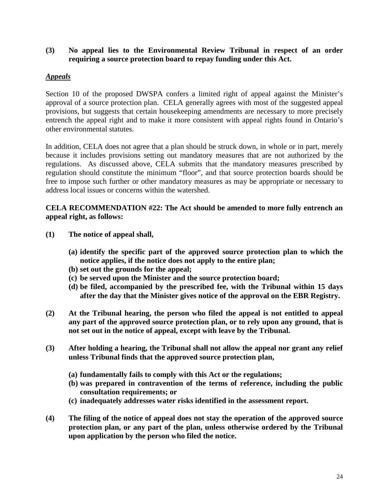### <span id="page-24-0"></span>**(3) No appeal lies to the Environmental Review Tribunal in respect of an order requiring a source protection board to repay funding under this Act.**

## *Appeals*

Section 10 of the proposed DWSPA confers a limited right of appeal against the Minister's approval of a source protection plan. CELA generally agrees with most of the suggested appeal provisions, but suggests that certain housekeeping amendments are necessary to more precisely entrench the appeal right and to make it more consistent with appeal rights found in Ontario's other environmental statutes.

In addition, CELA does not agree that a plan should be struck down, in whole or in part, merely because it includes provisions setting out mandatory measures that are not authorized by the regulations. As discussed above, CELA submits that the mandatory measures prescribed by regulation should constitute the minimum "floor", and that source protection boards should be free to impose such further or other mandatory measures as may be appropriate or necessary to address local issues or concerns within the watershed.

### **CELA RECOMMENDATION #22: The Act should be amended to more fully entrench an appeal right, as follows:**

- **(1) The notice of appeal shall,**
	- **(a) identify the specific part of the approved source protection plan to which the notice applies, if the notice does not apply to the entire plan;**
	- **(b) set out the grounds for the appeal;**
	- **(c) be served upon the Minister and the source protection board;**
	- **(d) be filed, accompanied by the prescribed fee, with the Tribunal within 15 days after the day that the Minister gives notice of the approval on the EBR Registry.**
- **(2) At the Tribunal hearing, the person who filed the appeal is not entitled to appeal any part of the approved source protection plan, or to rely upon any ground, that is not set out in the notice of appeal, except with leave by the Tribunal.**
- **(3) After holding a hearing, the Tribunal shall not allow the appeal nor grant any relief unless Tribunal finds that the approved source protection plan,**
	- **(a) fundamentally fails to comply with this Act or the regulations;**
	- **(b) was prepared in contravention of the terms of reference, including the public consultation requirements; or**
	- **(c) inadequately addresses water risks identified in the assessment report.**
- **(4) The filing of the notice of appeal does not stay the operation of the approved source protection plan, or any part of the plan, unless otherwise ordered by the Tribunal upon application by the person who filed the notice.**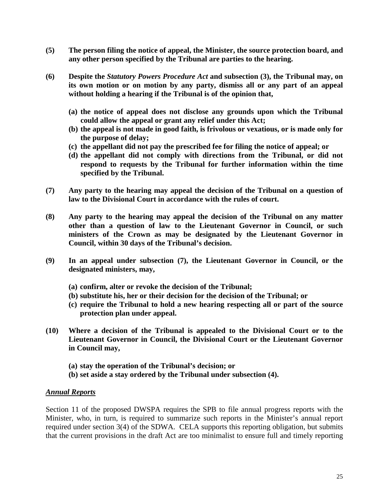- <span id="page-25-0"></span>**(5) The person filing the notice of appeal, the Minister, the source protection board, and any other person specified by the Tribunal are parties to the hearing.**
- **(6) Despite the** *Statutory Powers Procedure Act* **and subsection (3), the Tribunal may, on its own motion or on motion by any party, dismiss all or any part of an appeal without holding a hearing if the Tribunal is of the opinion that,**
	- **(a) the notice of appeal does not disclose any grounds upon which the Tribunal could allow the appeal or grant any relief under this Act;**
	- **(b) the appeal is not made in good faith, is frivolous or vexatious, or is made only for the purpose of delay;**
	- **(c) the appellant did not pay the prescribed fee for filing the notice of appeal; or**
	- **(d) the appellant did not comply with directions from the Tribunal, or did not respond to requests by the Tribunal for further information within the time specified by the Tribunal.**
- **(7) Any party to the hearing may appeal the decision of the Tribunal on a question of law to the Divisional Court in accordance with the rules of court.**
- **(8) Any party to the hearing may appeal the decision of the Tribunal on any matter other than a question of law to the Lieutenant Governor in Council, or such ministers of the Crown as may be designated by the Lieutenant Governor in Council, within 30 days of the Tribunal's decision.**
- **(9) In an appeal under subsection (7), the Lieutenant Governor in Council, or the designated ministers, may,**
	- **(a) confirm, alter or revoke the decision of the Tribunal;**
	- **(b) substitute his, her or their decision for the decision of the Tribunal; or**
	- **(c) require the Tribunal to hold a new hearing respecting all or part of the source protection plan under appeal.**
- **(10) Where a decision of the Tribunal is appealed to the Divisional Court or to the Lieutenant Governor in Council, the Divisional Court or the Lieutenant Governor in Council may,**
	- **(a) stay the operation of the Tribunal's decision; or**
	- **(b) set aside a stay ordered by the Tribunal under subsection (4).**

#### *Annual Reports*

Section 11 of the proposed DWSPA requires the SPB to file annual progress reports with the Minister, who, in turn, is required to summarize such reports in the Minister's annual report required under section 3(4) of the SDWA. CELA supports this reporting obligation, but submits that the current provisions in the draft Act are too minimalist to ensure full and timely reporting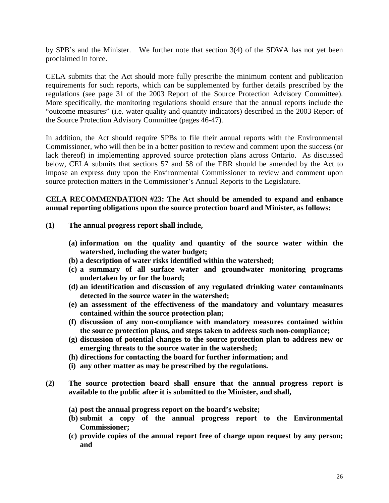by SPB's and the Minister. We further note that section 3(4) of the SDWA has not yet been proclaimed in force.

CELA submits that the Act should more fully prescribe the minimum content and publication requirements for such reports, which can be supplemented by further details prescribed by the regulations (see page 31 of the 2003 Report of the Source Protection Advisory Committee). More specifically, the monitoring regulations should ensure that the annual reports include the "outcome measures" (i.e. water quality and quantity indicators) described in the 2003 Report of the Source Protection Advisory Committee (pages 46-47).

In addition, the Act should require SPBs to file their annual reports with the Environmental Commissioner, who will then be in a better position to review and comment upon the success (or lack thereof) in implementing approved source protection plans across Ontario. As discussed below, CELA submits that sections 57 and 58 of the EBR should be amended by the Act to impose an express duty upon the Environmental Commissioner to review and comment upon source protection matters in the Commissioner's Annual Reports to the Legislature.

#### **CELA RECOMMENDATION #23: The Act should be amended to expand and enhance annual reporting obligations upon the source protection board and Minister, as follows:**

- **(1) The annual progress report shall include,**
	- **(a) information on the quality and quantity of the source water within the watershed, including the water budget;**
	- **(b) a description of water risks identified within the watershed;**
	- **(c) a summary of all surface water and groundwater monitoring programs undertaken by or for the board;**
	- **(d) an identification and discussion of any regulated drinking water contaminants detected in the source water in the watershed;**
	- **(e) an assessment of the effectiveness of the mandatory and voluntary measures contained within the source protection plan;**
	- **(f) discussion of any non-compliance with mandatory measures contained within the source protection plans, and steps taken to address such non-compliance;**
	- **(g) discussion of potential changes to the source protection plan to address new or emerging threats to the source water in the watershed;**
	- **(h) directions for contacting the board for further information; and**
	- **(i) any other matter as may be prescribed by the regulations.**
- **(2) The source protection board shall ensure that the annual progress report is available to the public after it is submitted to the Minister, and shall,**
	- **(a) post the annual progress report on the board's website;**
	- **(b) submit a copy of the annual progress report to the Environmental Commissioner;**
	- **(c) provide copies of the annual report free of charge upon request by any person; and**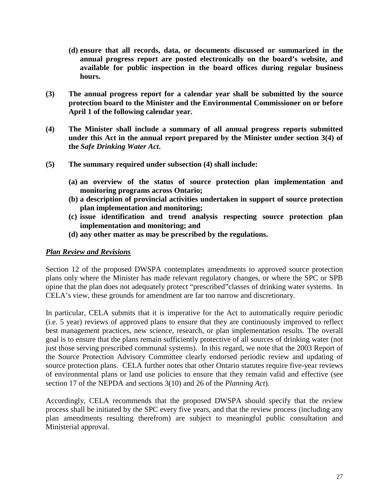- <span id="page-27-0"></span>**(d) ensure that all records, data, or documents discussed or summarized in the annual progress report are posted electronically on the board's website, and available for public inspection in the board offices during regular business hours.**
- **(3) The annual progress report for a calendar year shall be submitted by the source protection board to the Minister and the Environmental Commissioner on or before April 1 of the following calendar year.**
- **(4) The Minister shall include a summary of all annual progress reports submitted under this Act in the annual report prepared by the Minister under section 3(4) of the** *Safe Drinking Water Act***.**
- **(5) The summary required under subsection (4) shall include:**
	- **(a) an overview of the status of source protection plan implementation and monitoring programs across Ontario;**
	- **(b) a description of provincial activities undertaken in support of source protection plan implementation and monitoring;**
	- **(c) issue identification and trend analysis respecting source protection plan implementation and monitoring; and**
	- **(d) any other matter as may be prescribed by the regulations.**

#### *Plan Review and Revisions*

Section 12 of the proposed DWSPA contemplates amendments to approved source protection plans only where the Minister has made relevant regulatory changes, or where the SPC or SPB opine that the plan does not adequately protect "prescribed"classes of drinking water systems. In CELA's view, these grounds for amendment are far too narrow and discretionary.

In particular, CELA submits that it is imperative for the Act to automatically require periodic (i.e. 5 year) reviews of approved plans to ensure that they are continuously improved to reflect best management practices, new science, research, or plan implementation results. The overall goal is to ensure that the plans remain sufficiently protective of all sources of drinking water (not just those serving prescribed communal systems). In this regard, we note that the 2003 Report of the Source Protection Advisory Committee clearly endorsed periodic review and updating of source protection plans. CELA further notes that other Ontario statutes require five-year reviews of environmental plans or land use policies to ensure that they remain valid and effective (see section 17 of the NEPDA and sections 3(10) and 26 of the *Planning Act*).

Accordingly, CELA recommends that the proposed DWSPA should specify that the review process shall be initiated by the SPC every five years, and that the review process (including any plan amendments resulting therefrom) are subject to meaningful public consultation and Ministerial approval.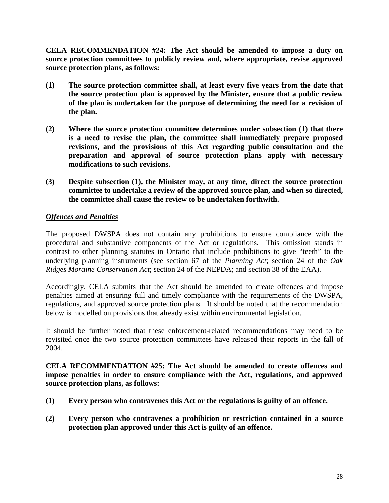<span id="page-28-0"></span>**CELA RECOMMENDATION #24: The Act should be amended to impose a duty on source protection committees to publicly review and, where appropriate, revise approved source protection plans, as follows:**

- **(1) The source protection committee shall, at least every five years from the date that the source protection plan is approved by the Minister, ensure that a public review of the plan is undertaken for the purpose of determining the need for a revision of the plan.**
- **(2) Where the source protection committee determines under subsection (1) that there is a need to revise the plan, the committee shall immediately prepare proposed revisions, and the provisions of this Act regarding public consultation and the preparation and approval of source protection plans apply with necessary modifications to such revisions.**
- **(3) Despite subsection (1), the Minister may, at any time, direct the source protection committee to undertake a review of the approved source plan, and when so directed, the committee shall cause the review to be undertaken forthwith.**

## *Offences and Penalties*

The proposed DWSPA does not contain any prohibitions to ensure compliance with the procedural and substantive components of the Act or regulations. This omission stands in contrast to other planning statutes in Ontario that include prohibitions to give "teeth" to the underlying planning instruments (see section 67 of the *Planning Act*; section 24 of the *Oak Ridges Moraine Conservation Act*; section 24 of the NEPDA; and section 38 of the EAA).

Accordingly, CELA submits that the Act should be amended to create offences and impose penalties aimed at ensuring full and timely compliance with the requirements of the DWSPA, regulations, and approved source protection plans. It should be noted that the recommendation below is modelled on provisions that already exist within environmental legislation.

It should be further noted that these enforcement-related recommendations may need to be revisited once the two source protection committees have released their reports in the fall of 2004.

**CELA RECOMMENDATION #25: The Act should be amended to create offences and impose penalties in order to ensure compliance with the Act, regulations, and approved source protection plans, as follows:**

- **(1) Every person who contravenes this Act or the regulations is guilty of an offence.**
- **(2) Every person who contravenes a prohibition or restriction contained in a source protection plan approved under this Act is guilty of an offence.**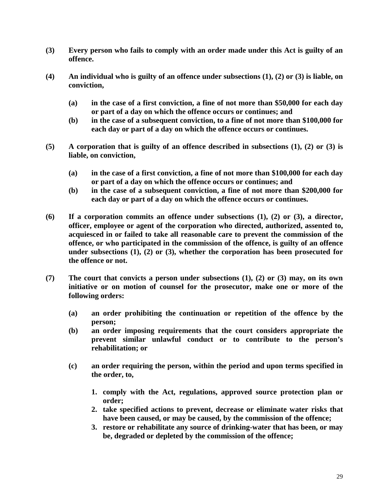- **(3) Every person who fails to comply with an order made under this Act is guilty of an offence.**
- **(4) An individual who is guilty of an offence under subsections (1), (2) or (3) is liable, on conviction,**
	- **(a) in the case of a first conviction, a fine of not more than \$50,000 for each day or part of a day on which the offence occurs or continues; and**
	- **(b) in the case of a subsequent conviction, to a fine of not more than \$100,000 for each day or part of a day on which the offence occurs or continues.**
- **(5) A corporation that is guilty of an offence described in subsections (1), (2) or (3) is liable, on conviction,**
	- **(a) in the case of a first conviction, a fine of not more than \$100,000 for each day or part of a day on which the offence occurs or continues; and**
	- **(b) in the case of a subsequent conviction, a fine of not more than \$200,000 for each day or part of a day on which the offence occurs or continues.**
- **(6) If a corporation commits an offence under subsections (1), (2) or (3), a director, officer, employee or agent of the corporation who directed, authorized, assented to, acquiesced in or failed to take all reasonable care to prevent the commission of the offence, or who participated in the commission of the offence, is guilty of an offence under subsections (1), (2) or (3), whether the corporation has been prosecuted for the offence or not.**
- **(7) The court that convicts a person under subsections (1), (2) or (3) may, on its own initiative or on motion of counsel for the prosecutor, make one or more of the following orders:**
	- **(a) an order prohibiting the continuation or repetition of the offence by the person;**
	- **(b) an order imposing requirements that the court considers appropriate the prevent similar unlawful conduct or to contribute to the person's rehabilitation; or**
	- **(c) an order requiring the person, within the period and upon terms specified in the order, to,**
		- **1. comply with the Act, regulations, approved source protection plan or order;**
		- **2. take specified actions to prevent, decrease or eliminate water risks that have been caused, or may be caused, by the commission of the offence;**
		- **3. restore or rehabilitate any source of drinking-water that has been, or may be, degraded or depleted by the commission of the offence;**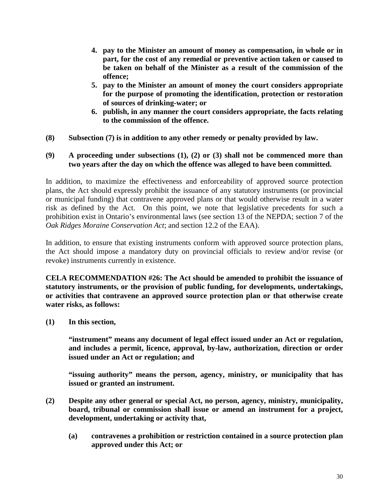- **4. pay to the Minister an amount of money as compensation, in whole or in part, for the cost of any remedial or preventive action taken or caused to be taken on behalf of the Minister as a result of the commission of the offence;**
- **5. pay to the Minister an amount of money the court considers appropriate for the purpose of promoting the identification, protection or restoration of sources of drinking-water; or**
- **6. publish, in any manner the court considers appropriate, the facts relating to the commission of the offence.**
- **(8) Subsection (7) is in addition to any other remedy or penalty provided by law.**

#### **(9) A proceeding under subsections (1), (2) or (3) shall not be commenced more than two years after the day on which the offence was alleged to have been committed.**

In addition, to maximize the effectiveness and enforceability of approved source protection plans, the Act should expressly prohibit the issuance of any statutory instruments (or provincial or municipal funding) that contravene approved plans or that would otherwise result in a water risk as defined by the Act. On this point, we note that legislative precedents for such a prohibition exist in Ontario's environmental laws (see section 13 of the NEPDA; section 7 of the *Oak Ridges Moraine Conservation Act*; and section 12.2 of the EAA).

In addition, to ensure that existing instruments conform with approved source protection plans, the Act should impose a mandatory duty on provincial officials to review and/or revise (or revoke) instruments currently in existence.

**CELA RECOMMENDATION #26: The Act should be amended to prohibit the issuance of statutory instruments, or the provision of public funding, for developments, undertakings, or activities that contravene an approved source protection plan or that otherwise create water risks, as follows:**

**(1) In this section,**

**"instrument" means any document of legal effect issued under an Act or regulation, and includes a permit, licence, approval, by-law, authorization, direction or order issued under an Act or regulation; and**

**"issuing authority" means the person, agency, ministry, or municipality that has issued or granted an instrument.**

- **(2) Despite any other general or special Act, no person, agency, ministry, municipality, board, tribunal or commission shall issue or amend an instrument for a project, development, undertaking or activity that,**
	- **(a) contravenes a prohibition or restriction contained in a source protection plan approved under this Act; or**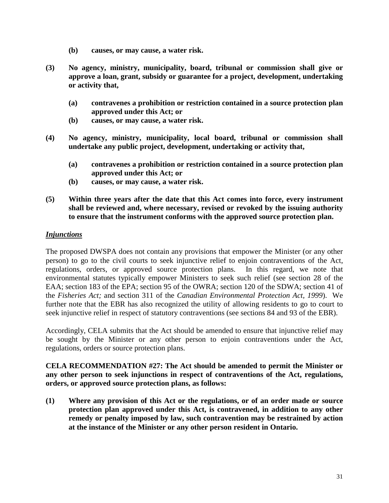- **(b) causes, or may cause, a water risk.**
- <span id="page-31-0"></span>**(3) No agency, ministry, municipality, board, tribunal or commission shall give or approve a loan, grant, subsidy or guarantee for a project, development, undertaking or activity that,**
	- **(a) contravenes a prohibition or restriction contained in a source protection plan approved under this Act; or**
	- **(b) causes, or may cause, a water risk.**
- **(4) No agency, ministry, municipality, local board, tribunal or commission shall undertake any public project, development, undertaking or activity that,**
	- **(a) contravenes a prohibition or restriction contained in a source protection plan approved under this Act; or**
	- **(b) causes, or may cause, a water risk.**
- **(5) Within three years after the date that this Act comes into force, every instrument shall be reviewed and, where necessary, revised or revoked by the issuing authority to ensure that the instrument conforms with the approved source protection plan.**

### *Injunctions*

The proposed DWSPA does not contain any provisions that empower the Minister (or any other person) to go to the civil courts to seek injunctive relief to enjoin contraventions of the Act, regulations, orders, or approved source protection plans. In this regard, we note that environmental statutes typically empower Ministers to seek such relief (see section 28 of the EAA; section 183 of the EPA; section 95 of the OWRA; section 120 of the SDWA; section 41 of the *Fisheries Act;* and section 311 of the *Canadian Environmental Protection Act, 1999*). We further note that the EBR has also recognized the utility of allowing residents to go to court to seek injunctive relief in respect of statutory contraventions (see sections 84 and 93 of the EBR).

Accordingly, CELA submits that the Act should be amended to ensure that injunctive relief may be sought by the Minister or any other person to enjoin contraventions under the Act, regulations, orders or source protection plans.

**CELA RECOMMENDATION #27: The Act should be amended to permit the Minister or any other person to seek injunctions in respect of contraventions of the Act, regulations, orders, or approved source protection plans, as follows:**

**(1) Where any provision of this Act or the regulations, or of an order made or source protection plan approved under this Act, is contravened, in addition to any other remedy or penalty imposed by law, such contravention may be restrained by action at the instance of the Minister or any other person resident in Ontario.**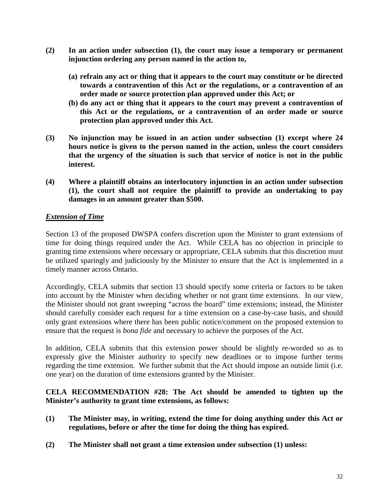- <span id="page-32-0"></span>**(2) In an action under subsection (1), the court may issue a temporary or permanent injunction ordering any person named in the action to,**
	- **(a) refrain any act or thing that it appears to the court may constitute or be directed towards a contravention of this Act or the regulations, or a contravention of an order made or source protection plan approved under this Act; or**
	- **(b) do any act or thing that it appears to the court may prevent a contravention of this Act or the regulations, or a contravention of an order made or source protection plan approved under this Act.**
- **(3) No injunction may be issued in an action under subsection (1) except where 24 hours notice is given to the person named in the action, unless the court considers that the urgency of the situation is such that service of notice is not in the public interest.**
- **(4) Where a plaintiff obtains an interlocutory injunction in an action under subsection (1), the court shall not require the plaintiff to provide an undertaking to pay damages in an amount greater than \$500.**

## *Extension of Time*

Section 13 of the proposed DWSPA confers discretion upon the Minister to grant extensions of time for doing things required under the Act. While CELA has no objection in principle to granting time extensions where necessary or appropriate, CELA submits that this discretion must be utilized sparingly and judiciously by the Minister to ensure that the Act is implemented in a timely manner across Ontario.

Accordingly, CELA submits that section 13 should specify some criteria or factors to be taken into account by the Minister when deciding whether or not grant time extensions. In our view, the Minister should not grant sweeping "across the board" time extensions; instead, the Minister should carefully consider each request for a time extension on a case-by-case basis, and should only grant extensions where there has been public notice/comment on the proposed extension to ensure that the request is *bona fide* and necessary to achieve the purposes of the Act.

In addition, CELA submits that this extension power should be slightly re-worded so as to expressly give the Minister authority to specify new deadlines or to impose further terms regarding the time extension. We further submit that the Act should impose an outside limit (i.e. one year) on the duration of time extensions granted by the Minister.

### **CELA RECOMMENDATION #28: The Act should be amended to tighten up the Minister's authority to grant time extensions, as follows:**

- **(1) The Minister may, in writing, extend the time for doing anything under this Act or regulations, before or after the time for doing the thing has expired.**
- **(2) The Minister shall not grant a time extension under subsection (1) unless:**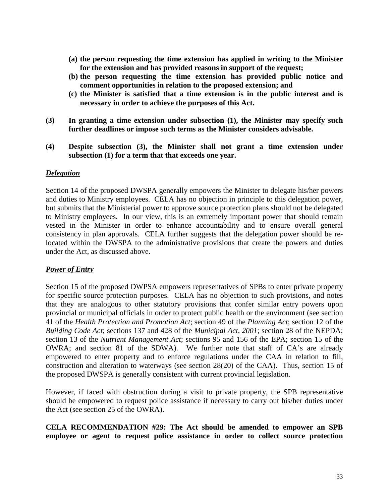- <span id="page-33-0"></span>**(a) the person requesting the time extension has applied in writing to the Minister for the extension and has provided reasons in support of the request;**
- **(b) the person requesting the time extension has provided public notice and comment opportunities in relation to the proposed extension; and**
- **(c) the Minister is satisfied that a time extension is in the public interest and is necessary in order to achieve the purposes of this Act.**
- **(3) In granting a time extension under subsection (1), the Minister may specify such further deadlines or impose such terms as the Minister considers advisable.**
- **(4) Despite subsection (3), the Minister shall not grant a time extension under subsection (1) for a term that that exceeds one year.**

#### *Delegation*

Section 14 of the proposed DWSPA generally empowers the Minister to delegate his/her powers and duties to Ministry employees. CELA has no objection in principle to this delegation power, but submits that the Ministerial power to approve source protection plans should not be delegated to Ministry employees. In our view, this is an extremely important power that should remain vested in the Minister in order to enhance accountability and to ensure overall general consistency in plan approvals. CELA further suggests that the delegation power should be relocated within the DWSPA to the administrative provisions that create the powers and duties under the Act, as discussed above.

#### *Power of Entry*

Section 15 of the proposed DWPSA empowers representatives of SPBs to enter private property for specific source protection purposes. CELA has no objection to such provisions, and notes that they are analogous to other statutory provisions that confer similar entry powers upon provincial or municipal officials in order to protect public health or the environment (see section 41 of the *Health Protection and Promotion Act*; section 49 of the *Planning Act*; section 12 of the *Building Code Act*; sections 137 and 428 of the *Municipal Act, 2001*; section 28 of the NEPDA; section 13 of the *Nutrient Management Act*; sections 95 and 156 of the EPA; section 15 of the OWRA; and section 81 of the SDWA). We further note that staff of CA's are already empowered to enter property and to enforce regulations under the CAA in relation to fill, construction and alteration to waterways (see section 28(20) of the CAA). Thus, section 15 of the proposed DWSPA is generally consistent with current provincial legislation.

However, if faced with obstruction during a visit to private property, the SPB representative should be empowered to request police assistance if necessary to carry out his/her duties under the Act (see section 25 of the OWRA).

**CELA RECOMMENDATION #29: The Act should be amended to empower an SPB employee or agent to request police assistance in order to collect source protection**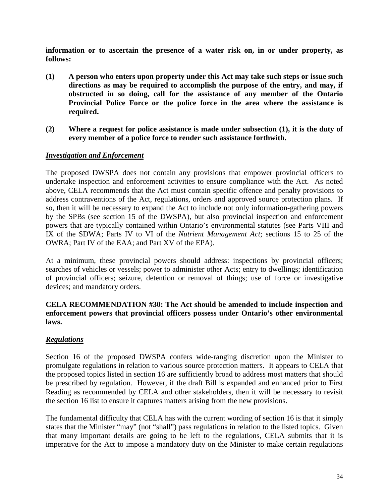<span id="page-34-0"></span>**information or to ascertain the presence of a water risk on, in or under property, as follows:**

- **(1) A person who enters upon property under this Act may take such steps or issue such directions as may be required to accomplish the purpose of the entry, and may, if obstructed in so doing, call for the assistance of any member of the Ontario Provincial Police Force or the police force in the area where the assistance is required.**
- **(2) Where a request for police assistance is made under subsection (1), it is the duty of every member of a police force to render such assistance forthwith.**

### *Investigation and Enforcement*

The proposed DWSPA does not contain any provisions that empower provincial officers to undertake inspection and enforcement activities to ensure compliance with the Act. As noted above, CELA recommends that the Act must contain specific offence and penalty provisions to address contraventions of the Act, regulations, orders and approved source protection plans. If so, then it will be necessary to expand the Act to include not only information-gathering powers by the SPBs (see section 15 of the DWSPA), but also provincial inspection and enforcement powers that are typically contained within Ontario's environmental statutes (see Parts VIII and IX of the SDWA; Parts IV to VI of the *Nutrient Management Act*; sections 15 to 25 of the OWRA; Part IV of the EAA; and Part XV of the EPA).

At a minimum, these provincial powers should address: inspections by provincial officers; searches of vehicles or vessels; power to administer other Acts; entry to dwellings; identification of provincial officers; seizure, detention or removal of things; use of force or investigative devices; and mandatory orders.

## **CELA RECOMMENDATION #30: The Act should be amended to include inspection and enforcement powers that provincial officers possess under Ontario's other environmental laws.**

#### *Regulations*

Section 16 of the proposed DWSPA confers wide-ranging discretion upon the Minister to promulgate regulations in relation to various source protection matters. It appears to CELA that the proposed topics listed in section 16 are sufficiently broad to address most matters that should be prescribed by regulation. However, if the draft Bill is expanded and enhanced prior to First Reading as recommended by CELA and other stakeholders, then it will be necessary to revisit the section 16 list to ensure it captures matters arising from the new provisions.

The fundamental difficulty that CELA has with the current wording of section 16 is that it simply states that the Minister "may" (not "shall") pass regulations in relation to the listed topics. Given that many important details are going to be left to the regulations, CELA submits that it is imperative for the Act to impose a mandatory duty on the Minister to make certain regulations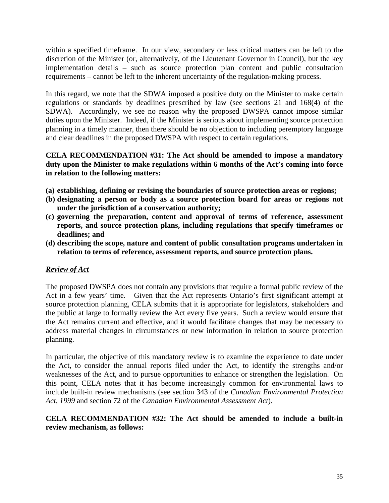<span id="page-35-0"></span>within a specified timeframe. In our view, secondary or less critical matters can be left to the discretion of the Minister (or, alternatively, of the Lieutenant Governor in Council), but the key implementation details – such as source protection plan content and public consultation requirements – cannot be left to the inherent uncertainty of the regulation-making process.

In this regard, we note that the SDWA imposed a positive duty on the Minister to make certain regulations or standards by deadlines prescribed by law (see sections 21 and 168(4) of the SDWA). Accordingly, we see no reason why the proposed DWSPA cannot impose similar duties upon the Minister. Indeed, if the Minister is serious about implementing source protection planning in a timely manner, then there should be no objection to including peremptory language and clear deadlines in the proposed DWSPA with respect to certain regulations.

## **CELA RECOMMENDATION #31: The Act should be amended to impose a mandatory duty upon the Minister to make regulations within 6 months of the Act's coming into force in relation to the following matters:**

- **(a) establishing, defining or revising the boundaries of source protection areas or regions;**
- **(b) designating a person or body as a source protection board for areas or regions not under the jurisdiction of a conservation authority;**
- **(c) governing the preparation, content and approval of terms of reference, assessment reports, and source protection plans, including regulations that specify timeframes or deadlines; and**
- **(d) describing the scope, nature and content of public consultation programs undertaken in relation to terms of reference, assessment reports, and source protection plans.**

# *Review of Act*

The proposed DWSPA does not contain any provisions that require a formal public review of the Act in a few years' time. Given that the Act represents Ontario's first significant attempt at source protection planning, CELA submits that it is appropriate for legislators, stakeholders and the public at large to formally review the Act every five years. Such a review would ensure that the Act remains current and effective, and it would facilitate changes that may be necessary to address material changes in circumstances or new information in relation to source protection planning.

In particular, the objective of this mandatory review is to examine the experience to date under the Act, to consider the annual reports filed under the Act, to identify the strengths and/or weaknesses of the Act, and to pursue opportunities to enhance or strengthen the legislation. On this point, CELA notes that it has become increasingly common for environmental laws to include built-in review mechanisms (see section 343 of the *Canadian Environmental Protection Act, 1999* and section 72 of the *Canadian Environmental Assessment Act*).

## **CELA RECOMMENDATION #32: The Act should be amended to include a built-in review mechanism, as follows:**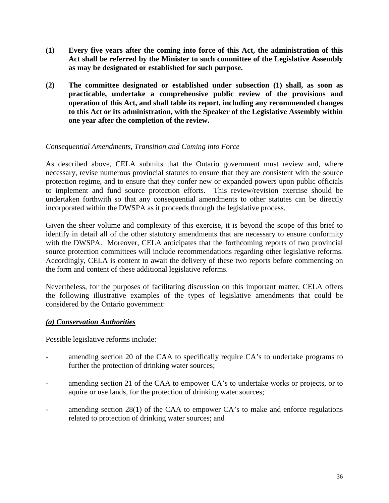- <span id="page-36-0"></span>**(1) Every five years after the coming into force of this Act, the administration of this Act shall be referred by the Minister to such committee of the Legislative Assembly as may be designated or established for such purpose.**
- **(2) The committee designated or established under subsection (1) shall, as soon as practicable, undertake a comprehensive public review of the provisions and operation of this Act, and shall table its report, including any recommended changes to this Act or its administration, with the Speaker of the Legislative Assembly within one year after the completion of the review.**

### *Consequential Amendments, Transition and Coming into Force*

As described above, CELA submits that the Ontario government must review and, where necessary, revise numerous provincial statutes to ensure that they are consistent with the source protection regime, and to ensure that they confer new or expanded powers upon public officials to implement and fund source protection efforts. This review/revision exercise should be undertaken forthwith so that any consequential amendments to other statutes can be directly incorporated within the DWSPA as it proceeds through the legislative process.

Given the sheer volume and complexity of this exercise, it is beyond the scope of this brief to identify in detail all of the other statutory amendments that are necessary to ensure conformity with the DWSPA. Moreover, CELA anticipates that the forthcoming reports of two provincial source protection committees will include recommendations regarding other legislative reforms. Accordingly, CELA is content to await the delivery of these two reports before commenting on the form and content of these additional legislative reforms.

Nevertheless, for the purposes of facilitating discussion on this important matter, CELA offers the following illustrative examples of the types of legislative amendments that could be considered by the Ontario government:

#### *(a) Conservation Authorities*

Possible legislative reforms include:

- amending section 20 of the CAA to specifically require CA's to undertake programs to further the protection of drinking water sources;
- amending section 21 of the CAA to empower CA's to undertake works or projects, or to aquire or use lands, for the protection of drinking water sources;
- amending section  $28(1)$  of the CAA to empower CA's to make and enforce regulations related to protection of drinking water sources; and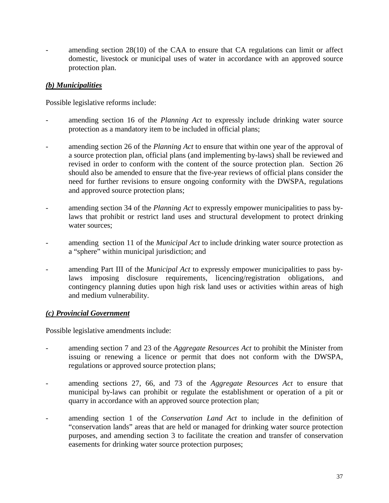<span id="page-37-0"></span>amending section  $28(10)$  of the CAA to ensure that CA regulations can limit or affect domestic, livestock or municipal uses of water in accordance with an approved source protection plan.

# *(b) Municipalities*

Possible legislative reforms include:

- amending section 16 of the *Planning Act* to expressly include drinking water source protection as a mandatory item to be included in official plans;
- amending section 26 of the *Planning Act* to ensure that within one year of the approval of a source protection plan, official plans (and implementing by-laws) shall be reviewed and revised in order to conform with the content of the source protection plan. Section 26 should also be amended to ensure that the five-year reviews of official plans consider the need for further revisions to ensure ongoing conformity with the DWSPA, regulations and approved source protection plans;
- amending section 34 of the *Planning Act* to expressly empower municipalities to pass bylaws that prohibit or restrict land uses and structural development to protect drinking water sources:
- amending section 11 of the *Municipal Act* to include drinking water source protection as a "sphere" within municipal jurisdiction; and
- amending Part III of the *Municipal Act* to expressly empower municipalities to pass bylaws imposing disclosure requirements, licencing/registration obligations, and contingency planning duties upon high risk land uses or activities within areas of high and medium vulnerability.

## *(c) Provincial Government*

Possible legislative amendments include:

- amending section 7 and 23 of the *Aggregate Resources Act* to prohibit the Minister from issuing or renewing a licence or permit that does not conform with the DWSPA, regulations or approved source protection plans;
- amending sections 27, 66, and 73 of the *Aggregate Resources Act* to ensure that municipal by-laws can prohibit or regulate the establishment or operation of a pit or quarry in accordance with an approved source protection plan;
- amending section 1 of the *Conservation Land Act* to include in the definition of "conservation lands" areas that are held or managed for drinking water source protection purposes, and amending section 3 to facilitate the creation and transfer of conservation easements for drinking water source protection purposes;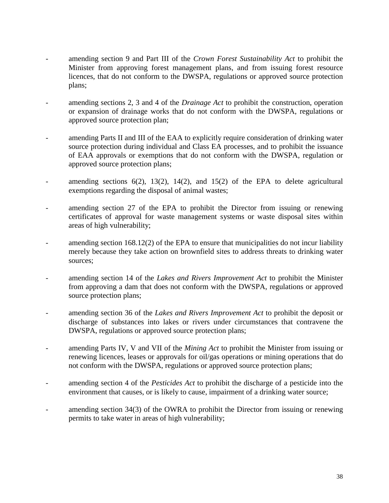- amending section 9 and Part III of the *Crown Forest Sustainability Act* to prohibit the Minister from approving forest management plans, and from issuing forest resource licences, that do not conform to the DWSPA, regulations or approved source protection plans;
- amending sections 2, 3 and 4 of the *Drainage Act* to prohibit the construction, operation or expansion of drainage works that do not conform with the DWSPA, regulations or approved source protection plan;
- amending Parts II and III of the EAA to explicitly require consideration of drinking water source protection during individual and Class EA processes, and to prohibit the issuance of EAA approvals or exemptions that do not conform with the DWSPA, regulation or approved source protection plans;
- amending sections  $6(2)$ ,  $13(2)$ ,  $14(2)$ , and  $15(2)$  of the EPA to delete agricultural exemptions regarding the disposal of animal wastes;
- amending section 27 of the EPA to prohibit the Director from issuing or renewing certificates of approval for waste management systems or waste disposal sites within areas of high vulnerability;
- amending section 168.12(2) of the EPA to ensure that municipalities do not incur liability merely because they take action on brownfield sites to address threats to drinking water sources;
- amending section 14 of the *Lakes and Rivers Improvement Act* to prohibit the Minister from approving a dam that does not conform with the DWSPA, regulations or approved source protection plans;
- amending section 36 of the *Lakes and Rivers Improvement Act* to prohibit the deposit or discharge of substances into lakes or rivers under circumstances that contravene the DWSPA, regulations or approved source protection plans;
- amending Parts IV, V and VII of the *Mining Act* to prohibit the Minister from issuing or renewing licences, leases or approvals for oil/gas operations or mining operations that do not conform with the DWSPA, regulations or approved source protection plans;
- amending section 4 of the *Pesticides Act* to prohibit the discharge of a pesticide into the environment that causes, or is likely to cause, impairment of a drinking water source;
- amending section  $34(3)$  of the OWRA to prohibit the Director from issuing or renewing permits to take water in areas of high vulnerability;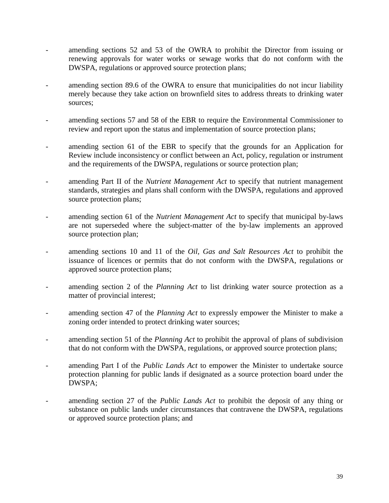- amending sections 52 and 53 of the OWRA to prohibit the Director from issuing or renewing approvals for water works or sewage works that do not conform with the DWSPA, regulations or approved source protection plans;
- amending section 89.6 of the OWRA to ensure that municipalities do not incur liability merely because they take action on brownfield sites to address threats to drinking water sources;
- amending sections 57 and 58 of the EBR to require the Environmental Commissioner to review and report upon the status and implementation of source protection plans;
- amending section 61 of the EBR to specify that the grounds for an Application for Review include inconsistency or conflict between an Act, policy, regulation or instrument and the requirements of the DWSPA, regulations or source protection plan;
- amending Part II of the *Nutrient Management Act* to specify that nutrient management standards, strategies and plans shall conform with the DWSPA, regulations and approved source protection plans;
- amending section 61 of the *Nutrient Management Act* to specify that municipal by-laws are not superseded where the subject-matter of the by-law implements an approved source protection plan;
- amending sections 10 and 11 of the *Oil, Gas and Salt Resources Act* to prohibit the issuance of licences or permits that do not conform with the DWSPA, regulations or approved source protection plans;
- amending section 2 of the *Planning Act* to list drinking water source protection as a matter of provincial interest;
- amending section 47 of the *Planning Act* to expressly empower the Minister to make a zoning order intended to protect drinking water sources;
- amending section 51 of the *Planning Act* to prohibit the approval of plans of subdivision that do not conform with the DWSPA, regulations, or approved source protection plans;
- amending Part I of the *Public Lands Act* to empower the Minister to undertake source protection planning for public lands if designated as a source protection board under the DWSPA;
- amending section 27 of the *Public Lands Act* to prohibit the deposit of any thing or substance on public lands under circumstances that contravene the DWSPA, regulations or approved source protection plans; and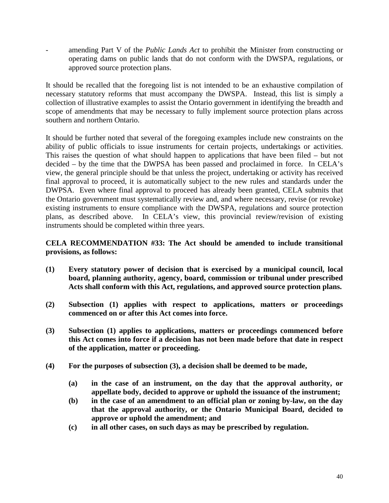- amending Part V of the *Public Lands Act* to prohibit the Minister from constructing or operating dams on public lands that do not conform with the DWSPA, regulations, or approved source protection plans.

It should be recalled that the foregoing list is not intended to be an exhaustive compilation of necessary statutory reforms that must accompany the DWSPA. Instead, this list is simply a collection of illustrative examples to assist the Ontario government in identifying the breadth and scope of amendments that may be necessary to fully implement source protection plans across southern and northern Ontario.

It should be further noted that several of the foregoing examples include new constraints on the ability of public officials to issue instruments for certain projects, undertakings or activities. This raises the question of what should happen to applications that have been filed – but not decided – by the time that the DWPSA has been passed and proclaimed in force. In CELA's view, the general principle should be that unless the project, undertaking or activity has received final approval to proceed, it is automatically subject to the new rules and standards under the DWPSA. Even where final approval to proceed has already been granted, CELA submits that the Ontario government must systematically review and, and where necessary, revise (or revoke) existing instruments to ensure compliance with the DWSPA, regulations and source protection plans, as described above. In CELA's view, this provincial review/revision of existing instruments should be completed within three years.

## **CELA RECOMMENDATION #33: The Act should be amended to include transitional provisions, as follows:**

- **(1) Every statutory power of decision that is exercised by a municipal council, local board, planning authority, agency, board, commission or tribunal under prescribed Acts shall conform with this Act, regulations, and approved source protection plans.**
- **(2) Subsection (1) applies with respect to applications, matters or proceedings commenced on or after this Act comes into force.**
- **(3) Subsection (1) applies to applications, matters or proceedings commenced before this Act comes into force if a decision has not been made before that date in respect of the application, matter or proceeding.**
- **(4) For the purposes of subsection (3), a decision shall be deemed to be made,**
	- **(a) in the case of an instrument, on the day that the approval authority, or appellate body, decided to approve or uphold the issuance of the instrument;**
	- **(b) in the case of an amendment to an official plan or zoning by-law, on the day that the approval authority, or the Ontario Municipal Board, decided to approve or uphold the amendment; and**
	- **(c) in all other cases, on such days as may be prescribed by regulation.**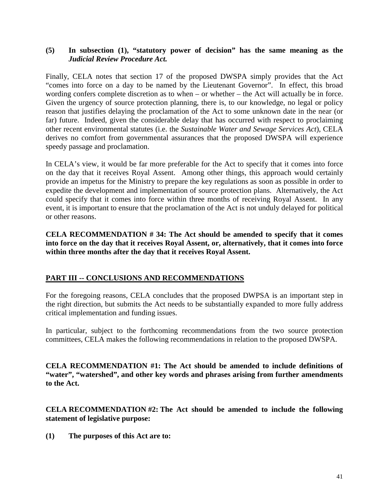#### <span id="page-41-0"></span>**(5) In subsection (1), "statutory power of decision" has the same meaning as the** *Judicial Review Procedure Act.*

Finally, CELA notes that section 17 of the proposed DWSPA simply provides that the Act "comes into force on a day to be named by the Lieutenant Governor". In effect, this broad wording confers complete discretion as to when – or whether – the Act will actually be in force. Given the urgency of source protection planning, there is, to our knowledge, no legal or policy reason that justifies delaying the proclamation of the Act to some unknown date in the near (or far) future. Indeed, given the considerable delay that has occurred with respect to proclaiming other recent environmental statutes (i.e. the *Sustainable Water and Sewage Services Act*), CELA derives no comfort from governmental assurances that the proposed DWSPA will experience speedy passage and proclamation.

In CELA's view, it would be far more preferable for the Act to specify that it comes into force on the day that it receives Royal Assent. Among other things, this approach would certainly provide an impetus for the Ministry to prepare the key regulations as soon as possible in order to expedite the development and implementation of source protection plans. Alternatively, the Act could specify that it comes into force within three months of receiving Royal Assent. In any event, it is important to ensure that the proclamation of the Act is not unduly delayed for political or other reasons.

**CELA RECOMMENDATION # 34: The Act should be amended to specify that it comes into force on the day that it receives Royal Assent, or, alternatively, that it comes into force within three months after the day that it receives Royal Assent.**

## **PART III -- CONCLUSIONS AND RECOMMENDATIONS**

For the foregoing reasons, CELA concludes that the proposed DWPSA is an important step in the right direction, but submits the Act needs to be substantially expanded to more fully address critical implementation and funding issues.

In particular, subject to the forthcoming recommendations from the two source protection committees, CELA makes the following recommendations in relation to the proposed DWSPA.

**CELA RECOMMENDATION #1: The Act should be amended to include definitions of "water", "watershed", and other key words and phrases arising from further amendments to the Act.**

**CELA RECOMMENDATION #2: The Act should be amended to include the following statement of legislative purpose:**

**(1) The purposes of this Act are to:**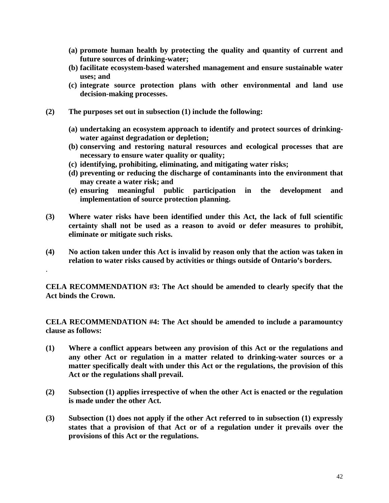- **(a) promote human health by protecting the quality and quantity of current and future sources of drinking-water;**
- **(b) facilitate ecosystem-based watershed management and ensure sustainable water uses; and**
- **(c) integrate source protection plans with other environmental and land use decision-making processes.**
- **(2) The purposes set out in subsection (1) include the following:**

.

- **(a) undertaking an ecosystem approach to identify and protect sources of drinkingwater against degradation or depletion;**
- **(b) conserving and restoring natural resources and ecological processes that are necessary to ensure water quality or quality;**
- **(c) identifying, prohibiting, eliminating, and mitigating water risks;**
- **(d) preventing or reducing the discharge of contaminants into the environment that may create a water risk; and**
- **(e) ensuring meaningful public participation in the development and implementation of source protection planning.**
- **(3) Where water risks have been identified under this Act, the lack of full scientific certainty shall not be used as a reason to avoid or defer measures to prohibit, eliminate or mitigate such risks.**
- **(4) No action taken under this Act is invalid by reason only that the action was taken in relation to water risks caused by activities or things outside of Ontario's borders.**

**CELA RECOMMENDATION #3: The Act should be amended to clearly specify that the Act binds the Crown.**

**CELA RECOMMENDATION #4: The Act should be amended to include a paramountcy clause as follows:**

- **(1) Where a conflict appears between any provision of this Act or the regulations and any other Act or regulation in a matter related to drinking-water sources or a matter specifically dealt with under this Act or the regulations, the provision of this Act or the regulations shall prevail.**
- **(2) Subsection (1) applies irrespective of when the other Act is enacted or the regulation is made under the other Act.**
- **(3) Subsection (1) does not apply if the other Act referred to in subsection (1) expressly states that a provision of that Act or of a regulation under it prevails over the provisions of this Act or the regulations.**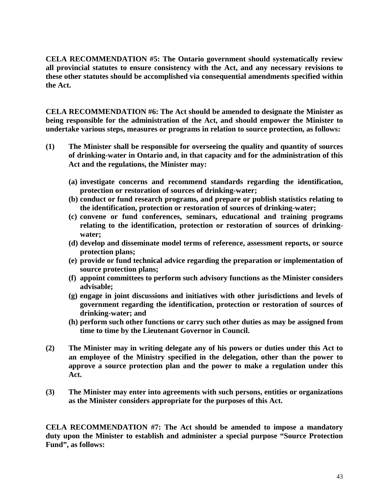**CELA RECOMMENDATION #5: The Ontario government should systematically review all provincial statutes to ensure consistency with the Act, and any necessary revisions to these other statutes should be accomplished via consequential amendments specified within the Act.**

**CELA RECOMMENDATION #6: The Act should be amended to designate the Minister as being responsible for the administration of the Act, and should empower the Minister to undertake various steps, measures or programs in relation to source protection, as follows:**

- **(1) The Minister shall be responsible for overseeing the quality and quantity of sources of drinking-water in Ontario and, in that capacity and for the administration of this Act and the regulations, the Minister may:**
	- **(a) investigate concerns and recommend standards regarding the identification, protection or restoration of sources of drinking-water;**
	- **(b) conduct or fund research programs, and prepare or publish statistics relating to the identification, protection or restoration of sources of drinking-water;**
	- **(c) convene or fund conferences, seminars, educational and training programs relating to the identification, protection or restoration of sources of drinkingwater;**
	- **(d) develop and disseminate model terms of reference, assessment reports, or source protection plans;**
	- **(e) provide or fund technical advice regarding the preparation or implementation of source protection plans;**
	- **(f) appoint committees to perform such advisory functions as the Minister considers advisable;**
	- **(g) engage in joint discussions and initiatives with other jurisdictions and levels of government regarding the identification, protection or restoration of sources of drinking-water; and**
	- **(h) perform such other functions or carry such other duties as may be assigned from time to time by the Lieutenant Governor in Council.**
- **(2) The Minister may in writing delegate any of his powers or duties under this Act to an employee of the Ministry specified in the delegation, other than the power to approve a source protection plan and the power to make a regulation under this Act.**
- **(3) The Minister may enter into agreements with such persons, entities or organizations as the Minister considers appropriate for the purposes of this Act.**

**CELA RECOMMENDATION #7: The Act should be amended to impose a mandatory duty upon the Minister to establish and administer a special purpose "Source Protection Fund", as follows:**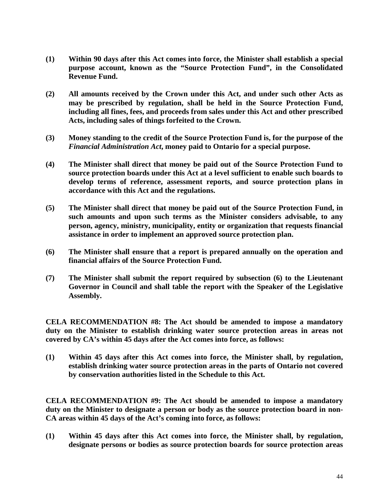- **(1) Within 90 days after this Act comes into force, the Minister shall establish a special purpose account, known as the "Source Protection Fund", in the Consolidated Revenue Fund.**
- **(2) All amounts received by the Crown under this Act, and under such other Acts as may be prescribed by regulation, shall be held in the Source Protection Fund, including all fines, fees, and proceeds from sales under this Act and other prescribed Acts, including sales of things forfeited to the Crown.**
- **(3) Money standing to the credit of the Source Protection Fund is, for the purpose of the** *Financial Administration Act***, money paid to Ontario for a special purpose.**
- **(4) The Minister shall direct that money be paid out of the Source Protection Fund to source protection boards under this Act at a level sufficient to enable such boards to develop terms of reference, assessment reports, and source protection plans in accordance with this Act and the regulations.**
- **(5) The Minister shall direct that money be paid out of the Source Protection Fund, in such amounts and upon such terms as the Minister considers advisable, to any person, agency, ministry, municipality, entity or organization that requests financial assistance in order to implement an approved source protection plan.**
- **(6) The Minister shall ensure that a report is prepared annually on the operation and financial affairs of the Source Protection Fund.**
- **(7) The Minister shall submit the report required by subsection (6) to the Lieutenant Governor in Council and shall table the report with the Speaker of the Legislative Assembly.**

**CELA RECOMMENDATION #8: The Act should be amended to impose a mandatory duty on the Minister to establish drinking water source protection areas in areas not covered by CA's within 45 days after the Act comes into force, as follows:**

**(1) Within 45 days after this Act comes into force, the Minister shall, by regulation, establish drinking water source protection areas in the parts of Ontario not covered by conservation authorities listed in the Schedule to this Act.**

**CELA RECOMMENDATION #9: The Act should be amended to impose a mandatory duty on the Minister to designate a person or body as the source protection board in non-CA areas within 45 days of the Act's coming into force, as follows:**

**(1) Within 45 days after this Act comes into force, the Minister shall, by regulation, designate persons or bodies as source protection boards for source protection areas**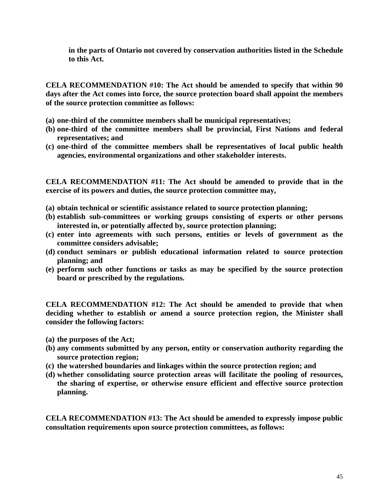**in the parts of Ontario not covered by conservation authorities listed in the Schedule to this Act.**

**CELA RECOMMENDATION #10: The Act should be amended to specify that within 90 days after the Act comes into force, the source protection board shall appoint the members of the source protection committee as follows:**

- **(a) one-third of the committee members shall be municipal representatives;**
- **(b) one-third of the committee members shall be provincial, First Nations and federal representatives; and**
- **(c) one-third of the committee members shall be representatives of local public health agencies, environmental organizations and other stakeholder interests.**

**CELA RECOMMENDATION #11: The Act should be amended to provide that in the exercise of its powers and duties, the source protection committee may,**

- **(a) obtain technical or scientific assistance related to source protection planning;**
- **(b) establish sub-committees or working groups consisting of experts or other persons interested in, or potentially affected by, source protection planning;**
- **(c) enter into agreements with such persons, entities or levels of government as the committee considers advisable;**
- **(d) conduct seminars or publish educational information related to source protection planning; and**
- **(e) perform such other functions or tasks as may be specified by the source protection board or prescribed by the regulations.**

**CELA RECOMMENDATION #12: The Act should be amended to provide that when deciding whether to establish or amend a source protection region, the Minister shall consider the following factors:**

- **(a) the purposes of the Act;**
- **(b) any comments submitted by any person, entity or conservation authority regarding the source protection region;**
- **(c) the watershed boundaries and linkages within the source protection region; and**
- **(d) whether consolidating source protection areas will facilitate the pooling of resources, the sharing of expertise, or otherwise ensure efficient and effective source protection planning.**

**CELA RECOMMENDATION #13: The Act should be amended to expressly impose public consultation requirements upon source protection committees, as follows:**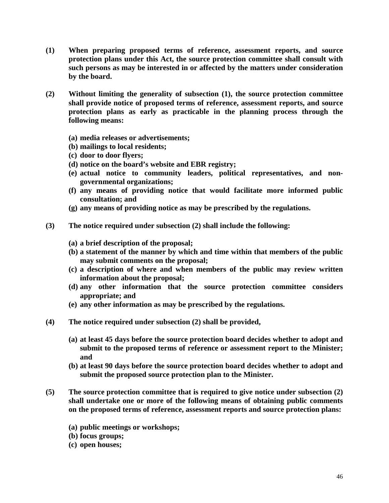- **(1) When preparing proposed terms of reference, assessment reports, and source protection plans under this Act, the source protection committee shall consult with such persons as may be interested in or affected by the matters under consideration by the board.**
- **(2) Without limiting the generality of subsection (1), the source protection committee shall provide notice of proposed terms of reference, assessment reports, and source protection plans as early as practicable in the planning process through the following means:**
	- **(a) media releases or advertisements;**
	- **(b) mailings to local residents;**
	- **(c) door to door flyers;**
	- **(d) notice on the board's website and EBR registry;**
	- **(e) actual notice to community leaders, political representatives, and nongovernmental organizations;**
	- **(f) any means of providing notice that would facilitate more informed public consultation; and**
	- **(g) any means of providing notice as may be prescribed by the regulations.**
- **(3) The notice required under subsection (2) shall include the following:**
	- **(a) a brief description of the proposal;**
	- **(b) a statement of the manner by which and time within that members of the public may submit comments on the proposal;**
	- **(c) a description of where and when members of the public may review written information about the proposal;**
	- **(d) any other information that the source protection committee considers appropriate; and**
	- **(e) any other information as may be prescribed by the regulations.**
- **(4) The notice required under subsection (2) shall be provided,**
	- **(a) at least 45 days before the source protection board decides whether to adopt and submit to the proposed terms of reference or assessment report to the Minister; and**
	- **(b) at least 90 days before the source protection board decides whether to adopt and submit the proposed source protection plan to the Minister.**
- **(5) The source protection committee that is required to give notice under subsection (2) shall undertake one or more of the following means of obtaining public comments on the proposed terms of reference, assessment reports and source protection plans:**
	- **(a) public meetings or workshops;**
	- **(b) focus groups;**
	- **(c) open houses;**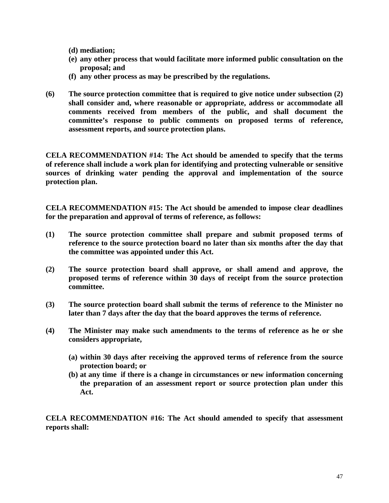**(d) mediation;**

- **(e) any other process that would facilitate more informed public consultation on the proposal; and**
- **(f) any other process as may be prescribed by the regulations.**
- **(6) The source protection committee that is required to give notice under subsection (2) shall consider and, where reasonable or appropriate, address or accommodate all comments received from members of the public, and shall document the committee's response to public comments on proposed terms of reference, assessment reports, and source protection plans.**

**CELA RECOMMENDATION #14: The Act should be amended to specify that the terms of reference shall include a work plan for identifying and protecting vulnerable or sensitive sources of drinking water pending the approval and implementation of the source protection plan.**

**CELA RECOMMENDATION #15: The Act should be amended to impose clear deadlines for the preparation and approval of terms of reference, as follows:**

- **(1) The source protection committee shall prepare and submit proposed terms of reference to the source protection board no later than six months after the day that the committee was appointed under this Act.**
- **(2) The source protection board shall approve, or shall amend and approve, the proposed terms of reference within 30 days of receipt from the source protection committee.**
- **(3) The source protection board shall submit the terms of reference to the Minister no later than 7 days after the day that the board approves the terms of reference.**
- **(4) The Minister may make such amendments to the terms of reference as he or she considers appropriate,**
	- **(a) within 30 days after receiving the approved terms of reference from the source protection board; or**
	- **(b) at any time if there is a change in circumstances or new information concerning the preparation of an assessment report or source protection plan under this Act.**

**CELA RECOMMENDATION #16: The Act should amended to specify that assessment reports shall:**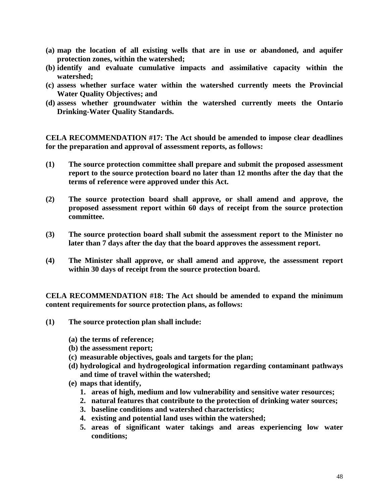- **(a) map the location of all existing wells that are in use or abandoned, and aquifer protection zones, within the watershed;**
- **(b) identify and evaluate cumulative impacts and assimilative capacity within the watershed;**
- **(c) assess whether surface water within the watershed currently meets the Provincial Water Quality Objectives; and**
- **(d) assess whether groundwater within the watershed currently meets the Ontario Drinking-Water Quality Standards.**

**CELA RECOMMENDATION #17: The Act should be amended to impose clear deadlines for the preparation and approval of assessment reports, as follows:**

- **(1) The source protection committee shall prepare and submit the proposed assessment report to the source protection board no later than 12 months after the day that the terms of reference were approved under this Act.**
- **(2) The source protection board shall approve, or shall amend and approve, the proposed assessment report within 60 days of receipt from the source protection committee.**
- **(3) The source protection board shall submit the assessment report to the Minister no later than 7 days after the day that the board approves the assessment report.**
- **(4) The Minister shall approve, or shall amend and approve, the assessment report within 30 days of receipt from the source protection board.**

**CELA RECOMMENDATION #18: The Act should be amended to expand the minimum content requirements for source protection plans, as follows:**

- **(1) The source protection plan shall include:**
	- **(a) the terms of reference;**
	- **(b) the assessment report;**
	- **(c) measurable objectives, goals and targets for the plan;**
	- **(d) hydrological and hydrogeological information regarding contaminant pathways and time of travel within the watershed;**
	- **(e) maps that identify,**
		- **1. areas of high, medium and low vulnerability and sensitive water resources;**
		- **2. natural features that contribute to the protection of drinking water sources;**
		- **3. baseline conditions and watershed characteristics;**
		- **4. existing and potential land uses within the watershed;**
		- **5. areas of significant water takings and areas experiencing low water conditions;**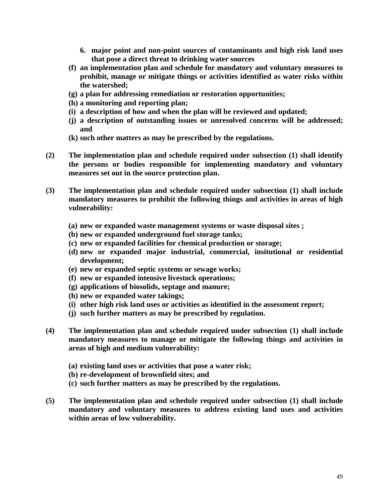- **6. major point and non-point sources of contaminants and high risk land uses that pose a direct threat to drinking water sources**
- **(f) an implementation plan and schedule for mandatory and voluntary measures to prohibit, manage or mitigate things or activities identified as water risks within the watershed;**
- **(g) a plan for addressing remediation or restoration opportunities;**
- **(h) a monitoring and reporting plan;**
- **(i) a description of how and when the plan will be reviewed and updated;**
- **(j) a description of outstanding issues or unresolved concerns will be addressed; and**
- **(k) such other matters as may be prescribed by the regulations.**
- **(2) The implementation plan and schedule required under subsection (1) shall identify the persons or bodies responsible for implementing mandatory and voluntary measures set out in the source protection plan.**
- **(3) The implementation plan and schedule required under subsection (1) shall include mandatory measures to prohibit the following things and activities in areas of high vulnerability:**
	- **(a) new or expanded waste management systems or waste disposal sites ;**
	- **(b) new or expanded underground fuel storage tanks;**
	- **(c) new or expanded facilities for chemical production or storage;**
	- **(d) new or expanded major industrial, commercial, insitutional or residential development;**
	- **(e) new or expanded septic systems or sewage works;**
	- **(f) new or expanded intensive livestock operations;**
	- **(g) applications of biosolids, septage and manure;**
	- **(h) new or expanded water takings;**
	- **(i) other high risk land uses or activities as identified in the assessment report;**
	- **(j) such further matters as may be prescribed by regulation.**
- **(4) The implementation plan and schedule required under subsection (1) shall include mandatory measures to manage or mitigate the following things and activities in areas of high and medium vulnerability:**
	- **(a) existing land uses or activities that pose a water risk;**
	- **(b) re-development of brownfield sites; and**
	- **(c) such further matters as may be prescribed by the regulations.**
- **(5) The implementation plan and schedule required under subsection (1) shall include mandatory and voluntary measures to address existing land uses and activities within areas of low vulnerability.**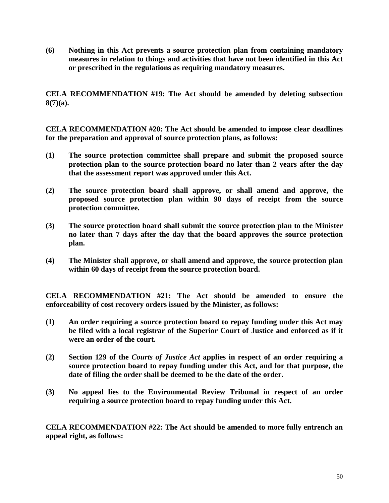**(6) Nothing in this Act prevents a source protection plan from containing mandatory measures in relation to things and activities that have not been identified in this Act or prescribed in the regulations as requiring mandatory measures.**

**CELA RECOMMENDATION #19: The Act should be amended by deleting subsection 8(7)(a).**

**CELA RECOMMENDATION #20: The Act should be amended to impose clear deadlines for the preparation and approval of source protection plans, as follows:**

- **(1) The source protection committee shall prepare and submit the proposed source protection plan to the source protection board no later than 2 years after the day that the assessment report was approved under this Act.**
- **(2) The source protection board shall approve, or shall amend and approve, the proposed source protection plan within 90 days of receipt from the source protection committee.**
- **(3) The source protection board shall submit the source protection plan to the Minister no later than 7 days after the day that the board approves the source protection plan.**
- **(4) The Minister shall approve, or shall amend and approve, the source protection plan within 60 days of receipt from the source protection board.**

**CELA RECOMMENDATION #21: The Act should be amended to ensure the enforceability of cost recovery orders issued by the Minister, as follows:**

- **(1) An order requiring a source protection board to repay funding under this Act may be filed with a local registrar of the Superior Court of Justice and enforced as if it were an order of the court.**
- **(2) Section 129 of the** *Courts of Justice Act* **applies in respect of an order requiring a source protection board to repay funding under this Act, and for that purpose, the date of filing the order shall be deemed to be the date of the order.**
- **(3) No appeal lies to the Environmental Review Tribunal in respect of an order requiring a source protection board to repay funding under this Act.**

**CELA RECOMMENDATION #22: The Act should be amended to more fully entrench an appeal right, as follows:**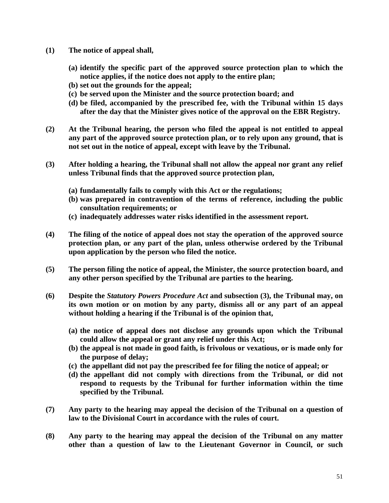- **(1) The notice of appeal shall,**
	- **(a) identify the specific part of the approved source protection plan to which the notice applies, if the notice does not apply to the entire plan;**
	- **(b) set out the grounds for the appeal;**
	- **(c) be served upon the Minister and the source protection board; and**
	- **(d) be filed, accompanied by the prescribed fee, with the Tribunal within 15 days after the day that the Minister gives notice of the approval on the EBR Registry.**
- **(2) At the Tribunal hearing, the person who filed the appeal is not entitled to appeal any part of the approved source protection plan, or to rely upon any ground, that is not set out in the notice of appeal, except with leave by the Tribunal.**
- **(3) After holding a hearing, the Tribunal shall not allow the appeal nor grant any relief unless Tribunal finds that the approved source protection plan,**
	- **(a) fundamentally fails to comply with this Act or the regulations;**
	- **(b) was prepared in contravention of the terms of reference, including the public consultation requirements; or**
	- **(c) inadequately addresses water risks identified in the assessment report.**
- **(4) The filing of the notice of appeal does not stay the operation of the approved source protection plan, or any part of the plan, unless otherwise ordered by the Tribunal upon application by the person who filed the notice.**
- **(5) The person filing the notice of appeal, the Minister, the source protection board, and any other person specified by the Tribunal are parties to the hearing.**
- **(6) Despite the** *Statutory Powers Procedure Act* **and subsection (3), the Tribunal may, on its own motion or on motion by any party, dismiss all or any part of an appeal without holding a hearing if the Tribunal is of the opinion that,**
	- **(a) the notice of appeal does not disclose any grounds upon which the Tribunal could allow the appeal or grant any relief under this Act;**
	- **(b) the appeal is not made in good faith, is frivolous or vexatious, or is made only for the purpose of delay;**
	- **(c) the appellant did not pay the prescribed fee for filing the notice of appeal; or**
	- **(d) the appellant did not comply with directions from the Tribunal, or did not respond to requests by the Tribunal for further information within the time specified by the Tribunal.**
- **(7) Any party to the hearing may appeal the decision of the Tribunal on a question of law to the Divisional Court in accordance with the rules of court.**
- **(8) Any party to the hearing may appeal the decision of the Tribunal on any matter other than a question of law to the Lieutenant Governor in Council, or such**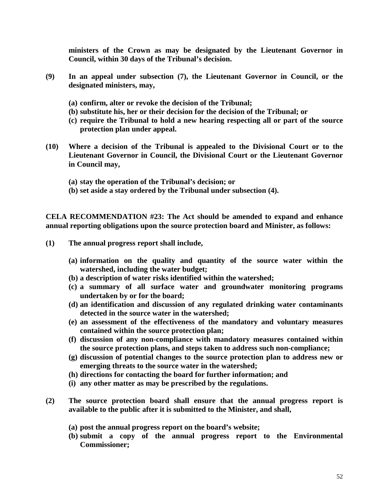**ministers of the Crown as may be designated by the Lieutenant Governor in Council, within 30 days of the Tribunal's decision.**

- **(9) In an appeal under subsection (7), the Lieutenant Governor in Council, or the designated ministers, may,**
	- **(a) confirm, alter or revoke the decision of the Tribunal;**
	- **(b) substitute his, her or their decision for the decision of the Tribunal; or**
	- **(c) require the Tribunal to hold a new hearing respecting all or part of the source protection plan under appeal.**
- **(10) Where a decision of the Tribunal is appealed to the Divisional Court or to the Lieutenant Governor in Council, the Divisional Court or the Lieutenant Governor in Council may,**
	- **(a) stay the operation of the Tribunal's decision; or**
	- **(b) set aside a stay ordered by the Tribunal under subsection (4).**

**CELA RECOMMENDATION #23: The Act should be amended to expand and enhance annual reporting obligations upon the source protection board and Minister, as follows:**

- **(1) The annual progress report shall include,**
	- **(a) information on the quality and quantity of the source water within the watershed, including the water budget;**
	- **(b) a description of water risks identified within the watershed;**
	- **(c) a summary of all surface water and groundwater monitoring programs undertaken by or for the board;**
	- **(d) an identification and discussion of any regulated drinking water contaminants detected in the source water in the watershed;**
	- **(e) an assessment of the effectiveness of the mandatory and voluntary measures contained within the source protection plan;**
	- **(f) discussion of any non-compliance with mandatory measures contained within the source protection plans, and steps taken to address such non-compliance;**
	- **(g) discussion of potential changes to the source protection plan to address new or emerging threats to the source water in the watershed;**
	- **(h) directions for contacting the board for further information; and**
	- **(i) any other matter as may be prescribed by the regulations.**
- **(2) The source protection board shall ensure that the annual progress report is available to the public after it is submitted to the Minister, and shall,**
	- **(a) post the annual progress report on the board's website;**
	- **(b) submit a copy of the annual progress report to the Environmental Commissioner;**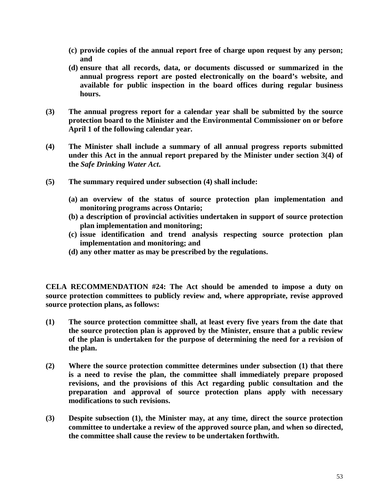- **(c) provide copies of the annual report free of charge upon request by any person; and**
- **(d) ensure that all records, data, or documents discussed or summarized in the annual progress report are posted electronically on the board's website, and available for public inspection in the board offices during regular business hours.**
- **(3) The annual progress report for a calendar year shall be submitted by the source protection board to the Minister and the Environmental Commissioner on or before April 1 of the following calendar year.**
- **(4) The Minister shall include a summary of all annual progress reports submitted under this Act in the annual report prepared by the Minister under section 3(4) of the** *Safe Drinking Water Act***.**
- **(5) The summary required under subsection (4) shall include:**
	- **(a) an overview of the status of source protection plan implementation and monitoring programs across Ontario;**
	- **(b) a description of provincial activities undertaken in support of source protection plan implementation and monitoring;**
	- **(c) issue identification and trend analysis respecting source protection plan implementation and monitoring; and**
	- **(d) any other matter as may be prescribed by the regulations.**

**CELA RECOMMENDATION #24: The Act should be amended to impose a duty on source protection committees to publicly review and, where appropriate, revise approved source protection plans, as follows:**

- **(1) The source protection committee shall, at least every five years from the date that the source protection plan is approved by the Minister, ensure that a public review of the plan is undertaken for the purpose of determining the need for a revision of the plan.**
- **(2) Where the source protection committee determines under subsection (1) that there is a need to revise the plan, the committee shall immediately prepare proposed revisions, and the provisions of this Act regarding public consultation and the preparation and approval of source protection plans apply with necessary modifications to such revisions.**
- **(3) Despite subsection (1), the Minister may, at any time, direct the source protection committee to undertake a review of the approved source plan, and when so directed, the committee shall cause the review to be undertaken forthwith.**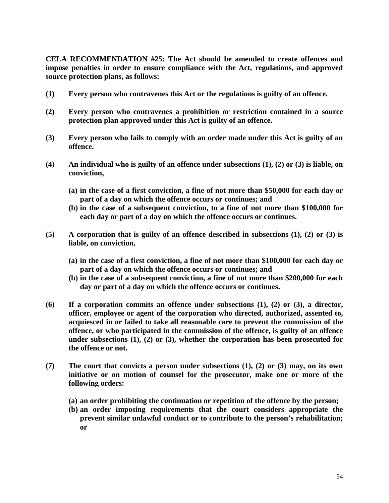**CELA RECOMMENDATION #25: The Act should be amended to create offences and impose penalties in order to ensure compliance with the Act, regulations, and approved source protection plans, as follows:**

- **(1) Every person who contravenes this Act or the regulations is guilty of an offence.**
- **(2) Every person who contravenes a prohibition or restriction contained in a source protection plan approved under this Act is guilty of an offence.**
- **(3) Every person who fails to comply with an order made under this Act is guilty of an offence.**
- **(4) An individual who is guilty of an offence under subsections (1), (2) or (3) is liable, on conviction,**
	- **(a) in the case of a first conviction, a fine of not more than \$50,000 for each day or part of a day on which the offence occurs or continues; and**
	- **(b) in the case of a subsequent conviction, to a fine of not more than \$100,000 for each day or part of a day on which the offence occurs or continues.**
- **(5) A corporation that is guilty of an offence described in subsections (1), (2) or (3) is liable, on conviction,**
	- **(a) in the case of a first conviction, a fine of not more than \$100,000 for each day or part of a day on which the offence occurs or continues; and**
	- **(b) in the case of a subsequent conviction, a fine of not more than \$200,000 for each day or part of a day on which the offence occurs or continues.**
- **(6) If a corporation commits an offence under subsections (1), (2) or (3), a director, officer, employee or agent of the corporation who directed, authorized, assented to, acquiesced in or failed to take all reasonable care to prevent the commission of the offence, or who participated in the commission of the offence, is guilty of an offence under subsections (1), (2) or (3), whether the corporation has been prosecuted for the offence or not.**
- **(7) The court that convicts a person under subsections (1), (2) or (3) may, on its own initiative or on motion of counsel for the prosecutor, make one or more of the following orders:**
	- **(a) an order prohibiting the continuation or repetition of the offence by the person;**
	- **(b) an order imposing requirements that the court considers appropriate the prevent similar unlawful conduct or to contribute to the person's rehabilitation; or**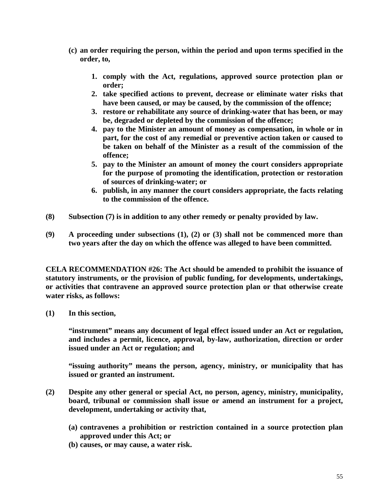- **(c) an order requiring the person, within the period and upon terms specified in the order, to,**
	- **1. comply with the Act, regulations, approved source protection plan or order;**
	- **2. take specified actions to prevent, decrease or eliminate water risks that have been caused, or may be caused, by the commission of the offence;**
	- **3. restore or rehabilitate any source of drinking-water that has been, or may be, degraded or depleted by the commission of the offence;**
	- **4. pay to the Minister an amount of money as compensation, in whole or in part, for the cost of any remedial or preventive action taken or caused to be taken on behalf of the Minister as a result of the commission of the offence;**
	- **5. pay to the Minister an amount of money the court considers appropriate for the purpose of promoting the identification, protection or restoration of sources of drinking-water; or**
	- **6. publish, in any manner the court considers appropriate, the facts relating to the commission of the offence.**
- **(8) Subsection (7) is in addition to any other remedy or penalty provided by law.**
- **(9) A proceeding under subsections (1), (2) or (3) shall not be commenced more than two years after the day on which the offence was alleged to have been committed.**

**CELA RECOMMENDATION #26: The Act should be amended to prohibit the issuance of statutory instruments, or the provision of public funding, for developments, undertakings, or activities that contravene an approved source protection plan or that otherwise create water risks, as follows:**

**(1) In this section,**

**"instrument" means any document of legal effect issued under an Act or regulation, and includes a permit, licence, approval, by-law, authorization, direction or order issued under an Act or regulation; and**

**"issuing authority" means the person, agency, ministry, or municipality that has issued or granted an instrument.**

- **(2) Despite any other general or special Act, no person, agency, ministry, municipality, board, tribunal or commission shall issue or amend an instrument for a project, development, undertaking or activity that,**
	- **(a) contravenes a prohibition or restriction contained in a source protection plan approved under this Act; or**
	- **(b) causes, or may cause, a water risk.**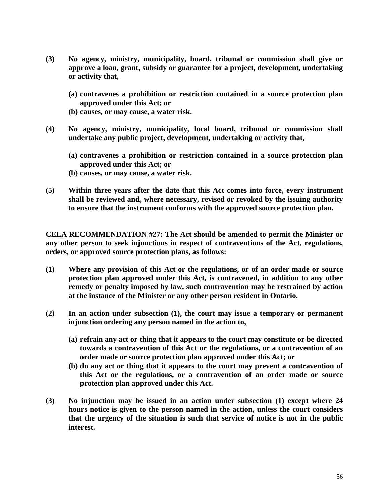- **(3) No agency, ministry, municipality, board, tribunal or commission shall give or approve a loan, grant, subsidy or guarantee for a project, development, undertaking or activity that,**
	- **(a) contravenes a prohibition or restriction contained in a source protection plan approved under this Act; or**
	- **(b) causes, or may cause, a water risk.**
- **(4) No agency, ministry, municipality, local board, tribunal or commission shall undertake any public project, development, undertaking or activity that,**
	- **(a) contravenes a prohibition or restriction contained in a source protection plan approved under this Act; or**
	- **(b) causes, or may cause, a water risk.**
- **(5) Within three years after the date that this Act comes into force, every instrument shall be reviewed and, where necessary, revised or revoked by the issuing authority to ensure that the instrument conforms with the approved source protection plan.**

**CELA RECOMMENDATION #27: The Act should be amended to permit the Minister or any other person to seek injunctions in respect of contraventions of the Act, regulations, orders, or approved source protection plans, as follows:**

- **(1) Where any provision of this Act or the regulations, or of an order made or source protection plan approved under this Act, is contravened, in addition to any other remedy or penalty imposed by law, such contravention may be restrained by action at the instance of the Minister or any other person resident in Ontario.**
- **(2) In an action under subsection (1), the court may issue a temporary or permanent injunction ordering any person named in the action to,**
	- **(a) refrain any act or thing that it appears to the court may constitute or be directed towards a contravention of this Act or the regulations, or a contravention of an order made or source protection plan approved under this Act; or**
	- **(b) do any act or thing that it appears to the court may prevent a contravention of this Act or the regulations, or a contravention of an order made or source protection plan approved under this Act.**
- **(3) No injunction may be issued in an action under subsection (1) except where 24 hours notice is given to the person named in the action, unless the court considers that the urgency of the situation is such that service of notice is not in the public interest.**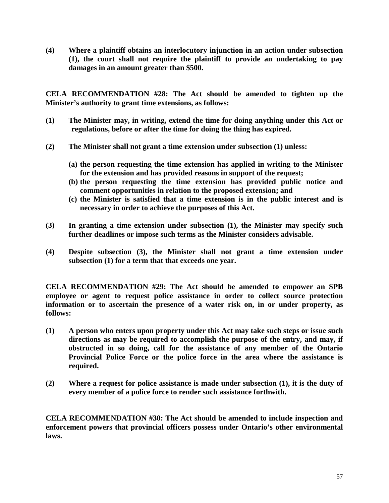**(4) Where a plaintiff obtains an interlocutory injunction in an action under subsection (1), the court shall not require the plaintiff to provide an undertaking to pay damages in an amount greater than \$500.**

**CELA RECOMMENDATION #28: The Act should be amended to tighten up the Minister's authority to grant time extensions, as follows:**

- **(1) The Minister may, in writing, extend the time for doing anything under this Act or regulations, before or after the time for doing the thing has expired.**
- **(2) The Minister shall not grant a time extension under subsection (1) unless:**
	- **(a) the person requesting the time extension has applied in writing to the Minister for the extension and has provided reasons in support of the request;**
	- **(b) the person requesting the time extension has provided public notice and comment opportunities in relation to the proposed extension; and**
	- **(c) the Minister is satisfied that a time extension is in the public interest and is necessary in order to achieve the purposes of this Act.**
- **(3) In granting a time extension under subsection (1), the Minister may specify such further deadlines or impose such terms as the Minister considers advisable.**
- **(4) Despite subsection (3), the Minister shall not grant a time extension under subsection (1) for a term that that exceeds one year.**

**CELA RECOMMENDATION #29: The Act should be amended to empower an SPB employee or agent to request police assistance in order to collect source protection information or to ascertain the presence of a water risk on, in or under property, as follows:**

- **(1) A person who enters upon property under this Act may take such steps or issue such directions as may be required to accomplish the purpose of the entry, and may, if obstructed in so doing, call for the assistance of any member of the Ontario Provincial Police Force or the police force in the area where the assistance is required.**
- **(2) Where a request for police assistance is made under subsection (1), it is the duty of every member of a police force to render such assistance forthwith.**

**CELA RECOMMENDATION #30: The Act should be amended to include inspection and enforcement powers that provincial officers possess under Ontario's other environmental laws.**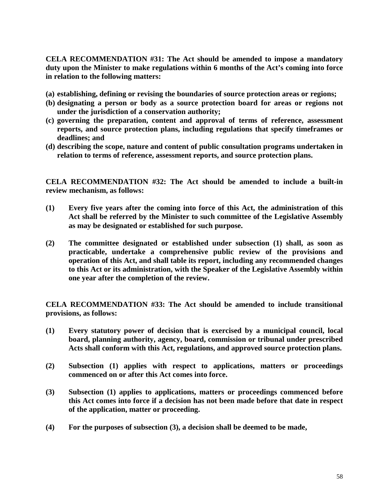**CELA RECOMMENDATION #31: The Act should be amended to impose a mandatory duty upon the Minister to make regulations within 6 months of the Act's coming into force in relation to the following matters:**

- **(a) establishing, defining or revising the boundaries of source protection areas or regions;**
- **(b) designating a person or body as a source protection board for areas or regions not under the jurisdiction of a conservation authority;**
- **(c) governing the preparation, content and approval of terms of reference, assessment reports, and source protection plans, including regulations that specify timeframes or deadlines; and**
- **(d) describing the scope, nature and content of public consultation programs undertaken in relation to terms of reference, assessment reports, and source protection plans.**

**CELA RECOMMENDATION #32: The Act should be amended to include a built-in review mechanism, as follows:**

- **(1) Every five years after the coming into force of this Act, the administration of this Act shall be referred by the Minister to such committee of the Legislative Assembly as may be designated or established for such purpose.**
- **(2) The committee designated or established under subsection (1) shall, as soon as practicable, undertake a comprehensive public review of the provisions and operation of this Act, and shall table its report, including any recommended changes to this Act or its administration, with the Speaker of the Legislative Assembly within one year after the completion of the review.**

**CELA RECOMMENDATION #33: The Act should be amended to include transitional provisions, as follows:**

- **(1) Every statutory power of decision that is exercised by a municipal council, local board, planning authority, agency, board, commission or tribunal under prescribed Acts shall conform with this Act, regulations, and approved source protection plans.**
- **(2) Subsection (1) applies with respect to applications, matters or proceedings commenced on or after this Act comes into force.**
- **(3) Subsection (1) applies to applications, matters or proceedings commenced before this Act comes into force if a decision has not been made before that date in respect of the application, matter or proceeding.**
- **(4) For the purposes of subsection (3), a decision shall be deemed to be made,**